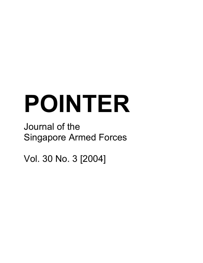# **POINTER**

## Journal of the Singapore Armed Forces

Vol. 30 No. 3 [2004]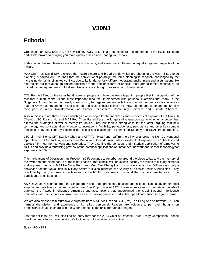## **V30N3**

## **Editorial**

Greetings! I am MAJ Sally Ho, the new Editor, POINTER. It is a great pleasure to come on board the POINTER team and I look forward to bringing you more quality articles and hearing your views.

In this issue, the lead features are a study in contrasts, addressing very different but equally important aspects of the military.

MAJ GEN(Ret) David Ivry, explores the macro-picture and broad trends which are changing the way military force planning is carried out. He finds that the conventional paradigm for force planning is seriously challenged by the increasing demands of limited conflicts due to its fundamentally different operating environment and assumptions. He also points out that although limited conflicts are the dominant form of conflict, most armed forces continue to be guided by the requirements of total war. His article is a thought-provoking and timely piece.

COL Bernard Tan, on the other hand, looks at people and how the Army is putting people first in recognition of the fact that human capital is the most important resource. Interspersed with personal examples that many in the Singapore Armed Forces can easily identify with, he regales readers with the numerous human resource initiatives that the Army has embarked on and goes on to discuss specific points as to how leaders and commanders can play their part in Army Transformation as Career Pacesetters, Community Spinners and Climate Shapers.

Also in this issue are three articles which give an in-depth treatment of the various aspects of airpower. LTC Tan Yuh Cherng, LTC Roland Ng and MAJ Foo Chun Fai address the longstanding question as to whether airpower has altered the strategies of war or merely its tactics. They put forth a strong case for the latter, arguing that new technology and concepts allow airpower to increase its flexibility, pervasiveness, persistence and other key combat functions. They conclude by exploring the issues and challenges of Homeland Security and RSAF transformation.

LTC Lim Kok Siong, CPT Stanley Chua and CPT Teh Hua Fung reaffirm the utility of airpower to Non-Conventional Operations (NCOs), tackling no less than Martin van Creveld himself who asserted that airpower was " obsolete and useless " in most non-conventional scenarios. They examine the concepts and historical application of airpower to NCOs and provide a tantalising preview of the potential applications of unmanned, network and sensor technology for airpower in NCOs.

The implications of Operation Iraqi Freedom (OIF) continue to reverberate around the globe today and the memory of the swift and one-sided nature of the initial phase of that conflict will, doubtless, occupy the minds of military planners and airpower theorists. MAJ Ho Yung Peng and MAJ Teo Cheng Hang ' s article shows how OIF was not only a showcase for the Revolution in Military Affairs but also reflected the validity of classical military principles. They conclude by trying to draw some lessons for the RSAF while keeping in mind the unique characteristics of the participants and situation.

ASP Devadas Krishnadas from the Singapore Police Force presents a detailed and insightful case study on strategic surprise and intelligence failure based on the Yom Kippur War of 1973. He examines various theoretical models of surprise, the flawed in-telligence structures and assumptions that underpinned the Israeli National Intelligence Estimates and the sources of Arab success in achieving surprise and initial operational success against Israel.

We are also pleased to feature two Viewpoints from MAJ Irvin Lim and COL (Ret) Tan Peng Ann on how the SAF can harness the wisdom and experience of its retired personnel. Readers are welcome to pen their thoughts on professional issues to share with the wider defence community through our pages.

Last but not least, you will also find an entry form for the 2004 Chief of Defence Force Essay Competition. Please check our website for more details. We look forward to receiving your entries!

Editor, POINTER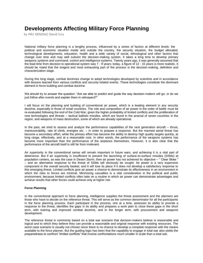## **Developments Affecting Military Force Planning**

by MAJ GEN(Ret) David Ivry

National military force planning is a lengthy process, influenced by a series of factors at different levels: the political and economic situation inside and outside the country, the security situation, the budget allocated, technological developments, education, health and a wide variety of social, ethnological and other factors that change over time and may well subvert the decision-making system. It takes a long time to develop primary weapons systems and command, control and intelligence systems. Twenty years ago, it was generally assumed that the lead-time from decision to operational system was 7 - 9 years; today, a figure of 12 - 15 years is more realistic. It should be noted that the longest and most exhausting part of the process is the decision-making, definition and characterization stage.

During this long stage, combat doctrines change to adopt technologies developed by scientists and in accordance with lessons learned from various conflicts and security-related events. These technologies constitute the dominant element in force building and combat doctrine.

We should try to answer the question: "Are we able to predict and guide the way decision-makers will go, or do we just follow after events and explain them in retrospect?"

I will focus on the planning and building of conventional air power, which is a leading element in any security doctrine, especially in those of small countries. The role and composition of air power in the order of battle must be re-evaluated following the end of the Cold War, given the higher probability of limited conflicts and the proliferation of new technologies and threats – tactical ballistic missiles, which are found in the arsenal of seven countries in the region, and weapons of mass destruction, some of which are already operational.

In the past, we tried to assess and analyze the performance capabilities of the next generation aircraft – thrust, maneuverability, rate of climb, energies etc. – in order to prepare a response. But the manned aerial threat has become a secondary effort, while the primary effort has become the ability to destroy high quality targets quickly, at long range, effectively, and at a reasonable cost. In other words, the performance of the weapons systems has become more important than the performance of the airplanes themselves. However, it is also clear that the performance of the aircraft itself is still far from irrelevant.

Air superiority in the conventional sense will remain important in future wars, and achieving it is a vital part of deterrence. But if air superiority is insufficient to prevent the launching of surface-to-surface missiles (SSMs) at population centers, as was the case in Desert Storm, then air power has not achieved its objective – " Clear Skies " – and an alternative response to the threat of SSMs will obviously be sought. Air power is a very expensive component in the overall security basket, and it will lose its place if it does not develop a satisfactory response to this emerging threat. Limited conflicts give air power a chance to demonstrate its effectiveness in an environment in which the risks to forces are minimal. Minimizing casualties is a vital consideration in the political and public environment, because limited conflicts often take on a routine in which air power can demonstrate advantages and achieve results that other forces could achieve only at higher risk.

#### **Force Planning**

In the conventional approach to force planning, intelligence supplies the threat assessment and the planners are those who have to decide on the reference threat. This will serve as the common denominator for all the participants in the force planning process. Each participant in the process, one at a time, assesses its ability to provide a response to the threat, identifies the gaps in its ability and prepares a work plan to close these gaps in the short term, with training and improved combat doctrine, and in the longer term, with procurement and weapons development.

The reference threat is commonly based on a total war scenario that decision-makers believe is reasonable and logical and to which they believe they can provide a reasonable and original response with existing resources. The worst case scenario is usually not chosen since there is no chance to develop a complete response with the means available to the force planner. But the guiding logic has been that the capability to engage in total war also yields the preparedness to confront "limited conflicts" that involve confrontations much smaller in scale than a total war.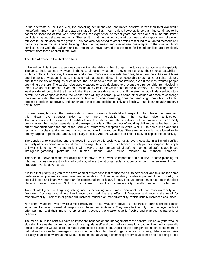In the aftermath of the Cold War, the prevailing sentiment was that limited conflicts rather than total war would henceforth largely mark rivalries between states in conflict. In our region, however, force planning continues to be based on scenarios of total war. Nevertheless, the experience of recent years has been one of numerous limited conflicts, in various shapes and forms. The result is that the training, combat doctrines and weapons are not always relevant to the situation on the ground. This has also happened to other armies that clung to outdated methods and had to rely on improvised special training, rules of engagement, and special weapons adapted to the situation. From conflicts in the Gulf, the Balkans and our region, we have learned that the rules for limited conflicts are completely different from those applied in total war.

#### **The Use of Force in Limited Conflicts**

In limited conflicts, there is a serious constraint on the ability of the stronger side to use all its power and capability. The constraint is particularly evident in the case of nuclear weapons – they cannot unleash their nuclear capability in limited conflicts. In practice, the weaker and more provocative side sets the rules, based on the initiatives it takes and the types of weapons it uses. It is assumed that against riots, it is unacceptable to use tanks or fighter planes, and in the vicinity of mosques or churches, the use of power must be constrained, even if the most wanted people are hiding out there. The weaker side uses weapons or tools designed to prevent the stronger side from deploying the full weight of its arsenal, even as it continuously tests the weak spots of the adversary. The challenge for the weaker side will be to find the threshold that the stronger side cannot cross. If the stronger side finds a solution to a certain type of weapon or tactic, the weaker side will try to come up with some other course of action to challenge the stronger side. The weaker side is more flexible in decision-making, does not need to go through a protracted process of political approvals, and can change tactics and policies quickly and flexibly. Thus, it can usually preserve the initiative.

In some cases, however, the weaker side is drawn to cross a threshold with respect to the rules of the game, and this allows the stronger side to act more forcefully than the weaker side anticipated. The constraints on the stronger side's ability to use force derive from the sensitivities of modern societies, especially democracies, the media, casualties and damage to civilians. The concept of avoiding civilian casualties has grown out of proportion since the end of the Cold War. What was acceptable in World War II – to bomb cities and their residents, hospitals and churches – is not acceptable in limited conflicts. The stronger side is not allowed to hit enemy targets in populated areas, especially in cities. And the weaker side finds it easy to exploit this sensitivity.

The sensitivity to casualties and the need, in a democratic society, to justify every casualty in a limited conflict, seriously affect decision-makers and force planning. Thus, the executive branch strongly prefers weapons that imply a lower risk to its own personnel; it will always prefer unmanned aircraft to manned aircraft, space-based intelligence-gathering platforms to human means, and cruise missiles to manned bombers.

The balance between maneuver-ability and firepower, which was so important and sensitive in force planning for total war, is less relevant in limited conflicts, where the stronger side is superior in both maneuver-ability and firepower over its adversaries.

It is true that priority is given to the development of weapons that reduce the risk to personnel, and this implies some preference for precise firepower over maneuverability. But maneuverability is also important, though mostly for special forces and infantry rather than for concentrations of heavy forces, because forces must also be in the right place in limited conflicts. Still, this is different from the maneuverability usually needed in total war.

Tactical intelligence – Targeting intelligence is becoming much more dominant both for maneuverability and firepower. Accurate and timely intelligence can maximize the effect of firepower and reduce the need for maneuverability. Lack of intelligence will increase reliance on maneuverability, which usually increases casualties.

Non-lethal weapons, which were almost irrelevant in total war, can provide a response in certain limited conflict situations. However, non-lethal weapons also have their limitations. They are effective only when deployed without prior warning, and their impact is ephemeral, because the weaker side is flexible and changes its patterns of behavior.

The media in limited conflicts have an important influence on the management of the conflict. It is usually the weaker side that initiates the confrontation, and it can guide itself and the media to benefit its cause. The media generally tends to favor the weaker side, no matter whose side justice is on. Depicting the stronger side as cruel seems more natural and is a simpler message to transmit to the public. And the stronger side reacts by being defensive and tries to justify its actions, whereas the weaker side has the advantage of making pre-emptive claims and not being forced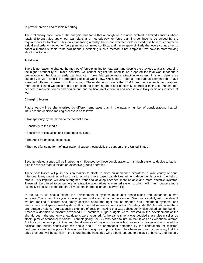to provide precise and reliable reporting.

The preliminary conclusion of the analysis thus far is that although we are now involved in limited conflicts where totally different rules apply, our war plans and methodology for force planning continue to be guided by the requirements for total war. This leaves us facing a reality that is not expected or forecasted. It is hard to recommend a rigid and orderly method for force planning for limited conflicts, and it may apply similarly that every country has to adopt a method suitable to its own needs. Developing such a method is not simple but we have to start thinking about how to do it.

#### **Total War**

There is no reason to change the method of force planning for total war, and despite the previous analysis regarding the higher probability of limited conflicts, we cannot neglect the need to be prepared for total war. Inadequate preparation or the loss of early warnings can make this option more attractive to others. In short, deterrence capability is vital even if the probability of total war is low. We need to address the various elements that have assumed different dimensions in this context. These elements include the SSM threat, non-conventional weapons, more sophisticated weapons and the problems of operating them and effectively controlling their use, the changes needed to maintain forces and equipment, and political involvement in and access to military decisions in times of war.

#### **Changing Norms**

Future wars will be characterized by different emphases than in the past. A number of considerations that will influence the decision-making process is as follows:

- Transparency by the media to the conflict area.
- Sensitivity to the media.
- Sensitivity to casualties and damage to civilians.
- The need for national consensus.
- The need for some form of inter-national support, especially the support of the United States .

Security-related issues will be increasingly influenced by these considerations. It is much easier to decide to launch a cruise missile than to initiate an extensive ground operation.

These sensitivities will push decision-makers to stock up more on unmanned aircraft for a wide variety of aerial missions. Many countries will also try to acquire space-based capabilities, either independently or with the help of others. This impulse will also strengthen trends to develop cheaper, more reliable and more effective systems. These will be offered to consumers as attractive alternatives to manned systems, which will in turn become more expensive because of the required investment in protection and survivability.

In the future, we should expect the development of systems to counter space-based and unmanned aircraft activities. This is how the cycle of development works and it cannot be stopped. We must candidly ask ourselves if we are making a correct and timely decision about the right mix of manned and unmanned systems, and atmospheric and space-based systems. It is true that we are a country without "strategic depth" , but above us there are "strategic heights". An expensive example of decision-making that was subsequently discredited can be found in America's decision to procure advanced B-2 bombers. Huge budgets were invested in the development of the aircraft, but in the end, only a few dozens were acquired. At the same time, it was decided that cruise missiles be stock up for conventional missions. Technologically, the B-2 was not a failure. In fact, it was an exceptional aircraft. But the cost became prohibitive, and the alternative of buying cruise missiles was much cheaper and answered the political and public sensitivities we spoke about. The operational demands by the consumers for maximal performance made the price of development and acquisition prohibitive. It has been said, with some irony, that the price of aircraft will be so high in the future that the industries will go bankrupt due to the lack of buyers, and the only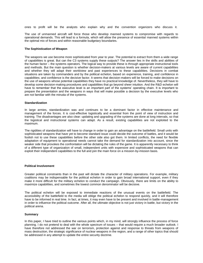ones to profit will be the analysts who explain why and the convention organizers who discuss it.

The use of unmanned aircraft will force those who develop manned systems to compromise with regards to operational demands. This will lead to a formula, which will allow the presence of essential manned systems within the optimal mix of forces and within reasonable budgetary boundaries.

#### **The Sophistication of Weapon**

The weapons we use become more sophisticated from year to year. The potential to extract from them a wide range of capabilities is great. But can the C3 systems supply these outputs? The answer lies in the skills and abilities of the human factor – the systems operators. The logical way to provide these is through appropriate instructional tools and methods. But the main question is whether decision-makers at various levels are aware of current capabilities and whether they will adapt their worldview and past experiences to these capabilities. Decisions in combat situations are taken by commanders and by the political echelon, based on experience, training, and confidence in capabilities; and confidence is the decisive factor. It seems that decision-makers will be forced to make decisions on the use of weapons whose potential capabilities they have no practical knowledge of. Nevertheless, they will have to develop some decision-making procedures and capabilities that go beyond sheer intuition. And the R&D echelon will have to remember that the executive level is an important part of the systems' operating chain. It is important to prepare the presentation and the weapons in ways that will make possible a decision by the executive levels who are not familiar with the minutia of the systems.

#### **Standardization**

In large armies, standardization was and continues to be a dominant factor in effective maintenance and management of the forces. It is cost-effective logistically and essential from the point of view of instruction and training. The disadvantages are also clear: updating and upgrading of the systems are done at long intervals, so that the logistical and instructional systems can adapt. As a result, existing capabilities are not exploited to the maximum.

The rigidities of standardization will have to change in order to gain an advantage on the battlefield. Small units with sophisticated weapons that have yet to become standard issue could decide the outcome of battles, and it would be foolish not to use these capabilities before the other side also got them. In limited conflicts, the need for flexible adaptation of equipment to operational needs cannot take the demand for standardization into account, since the weaker side that provokes the confrontation will be dictating the rules of the game. It is apparently necessary to think of a different type of organization of small, independent units with expensive and sophisticated weapons that can exploit their independent capabilities to the full and join the main force on a mission-by-mission basis.

#### **Political Involvement**

Greater political constraints than in the past will dictate the character of military operations. For example, military coalitions may be indispensable for the political echelon in order to gain broad international support, even if they make it more difficult for the military echelon to conduct the campaign. Obviously, there are limits on the ability to maximize capabilities, and sometimes the lowest common denominator will be decisive.

The political echelon will be exposed to immediate reactions of the unusual events on the battlefield. The accessibility of the battlefield to the media will oblige the political echelon to respond quickly, and it will therefore have to be informed in real time. In fact, at times, it may even have to be present and involved in battle-management in order to influence the political outcome. After all, the ultimate objective is not just victory in battle, but victory in the political arena.

#### **Summary**

In this paper, I have tried to outline the various points which, in my mind, will strongly influence the process of force planning. I do not pretend to deal with the whole spectrum of issues – that would require a much broader outlook. I have therefore not addressed the war on terrorism, protection against and response to threats from weapons of mass destruction, the strategic significance of nuclear weapons in the region, and a range of other topics that should be addressed in any attempt to update the entire security doctrine.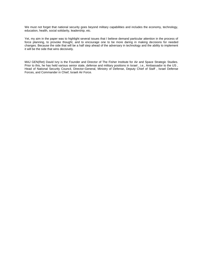We must not forget that national security goes beyond military capabilities and includes the economy, technology, education, health, social solidarity, leadership, etc.

Yet, my aim in the paper was to highlight several issues that I believe demand particular attention in the process of force planning, to provoke thought, and to encourage one to be more daring in making decisions for needed changes. Because the side that will be a half step ahead of the adversary in technology and the ability to implement it will be the side that wins decisively.

MAJ GEN(Ret) David Ivry is the Founder and Director of The Fisher Institute for Air and Space Strategic Studies. Prior to this, he has held various senior state, defense and military positions in Israel, i.e., Ambassador to the US, Head of National Security Council, Director-General, Ministry of Defense, Deputy Chief of Staff , Israel Defense Forces, and Commander in Chief, Israeli Air Force.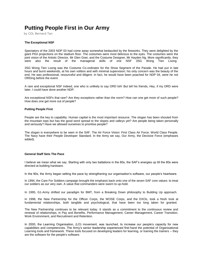## **Putting People First in Our Army**

by COL Bernard Tan

#### **The Exceptional NSF**

Spectators of the 2003 NDP 03 had come away somewhat bedazzled by the fireworks. They were delighted by the giant PIGI projections on the stadium floor. The costumes were most delicious to the eyes. The costumes were the joint vision of the Artistic Director, Mr Glen Goei, and the Costume Designer, Mr Hayden Ng. More significantly, they were also the result of the managerial skills of one NSF 3SG Wong Tien Loong.

3SG Wong Tien Loong was the Costume Co-ordinator for the Show Segment of the Parade. He had put in late hours and burnt weekends, at his own volition and with minimal supervision; his only concern was the beauty of the end. He was professional, resourceful and diligent. In fact, he would have been poached for NDP 04, were he not ORDing before the event.

A rare and exceptional NSF indeed, one who is unlikely to say ORD loh! But tell his friends, Hey, if my ORD were later, I could have done another NDP.

Are exceptional NSFs that rare? Are they exceptions rather than the norm? How can one get more of such people? How does one get more out of people?

#### **Putting People First**

People are the key to capability. Human capital is the most important resource. The slogan has been shouted from the mountain tops but has the good word spread to the slopes and valleys yet? Are people being taken personally and seriously? Have we allowed ourselves to prioritise people?

The slogan is everywhere to be seen in the SAF. The Air Force Vision: First Class Air Force. World Class People. The Navy have their People Developer Standard. In the Army we say, Our Army, the Decisive Force (emphases added).

#### **General Staff Sets The Pace**

I believe we mean what we say. Starting with only two battalions in the 60s, the SAF's energies up till the 80s were directed at building hardware.

In the 90s, the Army began setting the pace by strengthening our organisation's software, our people's heartware.

In 1994, the Care For Soldiers campaign brought the emphasis back onto one of the seven SAF core values: to treat our soldiers as our very own. A value that commanders were sworn to up-hold.

In 1995, G1-Army shifted our paradigm for BMT, from a Breaking Down philosophy to Building Up approach.

In 1998, the New Partnership for the Officer Corps, the WOSE Corps, and the DXOs, took a fresh look at fundamental relationships, both tangible and psychological, that have been too long taken for granted.

The New Partnership continues to be relevant today. It stands as a commitment to the continuous review and renewal of relationships, in Pay and Benefits, Performance Management, Career Management, Career Transition, Work Environment, and Recruitment and Retention.

In 2000, the Learning Organisation, (LO) movement, was launched, to increase our people's capacity for new capabilities and competencies. The Army's senior leadership experienced first-hand the potential of Organisational Learning tools and framework. These tools focused on developing leaders for learning, or training the trainers – they are the software for the people's software.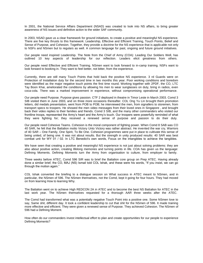In 2001, the National Service Affairs Department (NSAD) was created to look into NS affairs, to bring greater awareness of NS issues and definitive action to the wider SAF community.

In 2003, NSAD gave us a clear framework for ground initiatives, to create a positive and meaningful NS experience. There are five key thrusts to this framework: Leadership, Effective and Efficient Training, Touch Points, Belief and Sense of Purpose, and Cohesion. Together, they provide a doctrine for the NS experience that is applicable not only to NSFs and NSmen but to regulars as well. A common language for past, ongoing and future ground initiatives.

Our people need inspired Leadership. The Note from the Chief of Army (COA): Leading Our Soldiers Well, has outlined 10 key aspects of leadership for our reflection. Leaders elicit greatness from others.

Our people need Effective and Efficient Training. NSmen want to look forward to in-camp training. NSFs want to look forward to booking in. They want to feel better, not bitter, from the experience.

Currently, there are still many Touch Points that hold back the positive NS experience. 3 rd Guards were on Protection of Installation duty for the second time in two months this year. Poor working conditions and boredom were identified as the major negative touch points the first time round. Working together with 2PDF, the CO, LTC Tay Boon Khai, ameliorated the conditions by allowing his men to wear sunglasses on duty, bring in radios, even coca-cola. There was a marked improvement in experience, without compromising operational performance.

Our people need Purpose. Purpose gives passion. CTF 2 deployed in theatre in Timor Leste in March 2003. Comd 3 SIB visited them in June 2003, and on three more occasions thereafter. COL Ong Yu Lin brought them promotion letters, did medals presentation, went from POB to POB; he interviewed the men, from signallers to storemen, from transport specs to troopers. He showed the men video messages from their loved ones in Singapore , and brought back their video replies to their families and friends. Comd 3 SIB, and the many other commanders who visited our frontline troops, represented the Army's heart and the Army's touch. Our troopers were powerfully reminded of what they were fighting for; they received a renewed sense of purpose and passion to do their duty.

Our people need Cohesive Teams. Cohesion is the moral component of fighting power. When Comd 8 SAB was CO 40 SAR, he felt that the Battalion motto Victory Unto Victory was rather abstract. He invented the war cry, Warriors of 40 SAR – One Family, One Spirit, To Be One. Cohesion programmes were put in place to cultivate this sense of being united, of being one. It was not about results. But the strength in unity produced results: 40 SAR was best combat unit for WY 01 / 02. In LTC Benedict's own words, Focus on the intangibles to achieve the tangibles.

We have seen that creating a positive and meaningful NS experience is not just about solving problems: they are also about positive action, creating lifelong memories and turning points in life. COA has given us the language: Defining Moments. Defining Moments turn the Army from organisation to culture, from employer to family.

Three weeks before ATEC, Comd 596 SIR was to brief the Battalion core group on Prep ATEC. Having already done a similar brief, the CO, MAJ (NS) Ismail told COL Ishak, and these were his words, "If you insist, we can go through the motion again."

COL Ishak converted the briefing to a dialogue session on What success in ATEC meant to NSmen, and in particular, the NSmen of 596. The NSmen themselves, not the Comd, kept it going for four hours. They had moved on from learning How to learning Why.

The Battalion went on to achieve High REDCON 2A in ATEC and to become the best NS Battalion for ATEC in the last work year. The NSmen themselves requested for a thorough AAR three weeks after the ATEC.

The Comd had transformed what was a potentially negative Touch Point into a positive one. Some NSmen love to say, Same shit, different day. It took a confident leadership to cut that shit for the NSmen of 596. It made training more effective and efficient. They were given a renewed sense of Purpose. They achieved Cohesion. The NSmen of 596 had a Defining Moment.

How often do our commanders invest intellectual effort to plan and create opportunities for our people to experience Defining Moments?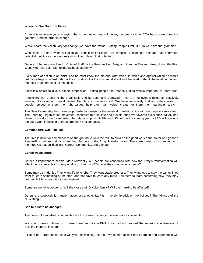#### **Where Do We Go From Here?**

Change is upon everyone: a saying that should never, and will never, become a cliché. COA has thrown down the gauntlet, Find the order in change.

We've heard the vocabulary for change; we have the words, Putting People First. But do we have the grammar?

What does it mean, when asked to put people first? People are complex. The people resource has enormous potential, but it is also enormously difficult to unleash that potential.

General Johannes von Seeckt, Chief of Staff for the German First Army and then the Eleventh Army during the First World War, has said, with unimpeachable authority:

Every man of action is an artist, and he must know the material with which, in which and against which he works before he begins his task. Man is the most difficult – the most recalcitrant and the most grateful, the most faithful and the most treacherous of all materials.

Allow this article to give a simple proposition: Putting people first means putting what's important to them first.

People are not a cost to the organisation, to be summarily defrayed. They are not even a resource, passively awaiting discovery and development. People are human capital. We have to actively and accurately invest in people, embed in them the right values, help them gain value, create for them the meaningful stretch.

The New Partnership has given us powerful language for the renewal of relationships with our regular servicemen. The Learning Organisation movement continues to articulate and sustain our drive towards excellence. NSAD has given us the doctrine for renewing the relationship with NSFs and NSmen. In the coming year, NSAD will continue the good work in helping to transform the NS experience.

#### **Commanders Walk The Talk**

The time is now, for commanders on the ground to walk the talk, to build on the good work done so far and go for a People-First culture that will strengthen the core of the Army Transformation. There are three things people want, the three Cs that build culture: Career, Community, and Climate.

#### **Career Pacesetters**

Career is important to people. More relevantly, our people are concerned with how the Army's transformation will affect their careers. Is it known, what is on their mind? What is their mindset on change?

Some may be in denial. They want life-long jobs. They want stable progress. They want jobs to stay the same. They want to learn something at the start, and not have to learn any more. Tell them to learn something new, they may get their NSFs to learn it for them instead.

Some are genuine concerns. Will they lose their Division family? Will their ranking be affected?

Others are sceptical. Is transformation just another fad? Is it merely lip-stick on the bulldog? The Ministry of the NEW thing?

#### **Can mindsets be changed?**

The power of a mindset is undeniable but the power to change it is even more invaluable.

We would have continued to "Break-Down" recruits in BMT if we had not realised the superior effectiveness of Building them Up instead.

Fixation on Performance alone will yield diminishing returns if we cannot accept that Learning and Experience will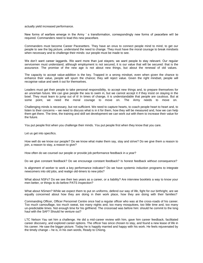actually yield increased performance.

New forms of warfare emerge in the Army ' s transformation, correspondingly new forms of peacefare will be required. Commanders need to lead this new peacefare.

Commanders must become Career Pacesetters. They have an onus to connect people mind to mind, to get our people to see the big picture, understand the need to change. They must have the moral courage to break mindsets when necessary and to challenge their minds: our people must be made to see.

We don't want career laggards. We want more than just stayers; we want people to stay relevant. Our regular servicemen must understand, although employment is not secured, it is our value that will be secured: that is the assurance. The promise of the new age is not about new things, but about the renewal of old values.

The capacity to accept value-addition is the key. Trapped in a wrong mindset, even when given the chance to enhance their value, people will spurn the chance; they will reject value. Given the right mindset, people will recognise value and seek it out for themselves.

Leaders must get their people to take personal responsibility, to accept new things and, to prepare themselves for an uncertain future. We can give people the sea to swim in, but we cannot accept it if they insist on staying in the bowl. They must learn to jump out of it! In times of change, it is understandable that people are cautious. But at some point, we need the moral courage to move on. The Army needs to move on.

Challenging minds is necessary, but not sufficient. We need to capture hearts, to coach people heart to heart and, to listen to their concerns – we need to discuss what is in it for them, how they will be measured and, how we can help them get there. The time, the training and skill set development we can work out with them to increase their value for the future.

You put people first when you challenge their minds. You put people first when they know that you care.

Let us get into specifics.

How well do we know our people? Do we know what make them say, stay and strive? Do we give them a reason to join, a reason to stay, a reason to give?

How often do we counsel our people or provide job performance feedback in a year?

Do we give constant feedback? Do we encourage constant feedback? Is honest feedback without consequence?

Is alignment of worker to work a key performance indicator? Do we have systemic induction programs to integrate newcomers into old jobs, and realign old-timers to new jobs?

What about NSFs? Do we see their two years as a career, or a liability? Are interview booklets a way to know your men better, or things to do before PATS inspection?

What about NSmen? While we expect them to put on uniforms, defend our way of life, fight for our birthright, are we equally concerned about how they are doing in their work place, how they are doing with their families?

Commanding Officer, Officer Personnel Centre once had a regular officer who was at the cross-roads of his career. Too much camouflage, too much sweat, too many nights and, too many mosquitoes, too little time and, too many un-predictable times. Not enough time for his girlfriend. The crossroad was before him: should he commit to the long haul with the SAF? Should he venture out?

LTC Nelson Yau set him a challenge. He did a mid-career review with him, gave him career feedback, facilitated career discovery, and explored career options. The officer has since chosen to stay, and found a new lease of life in his career. He saw the bigger picture. Today he is happily married and happy with his work. He feels rejuvenated by the timely change – he is, in his own words, Ready to Chiong.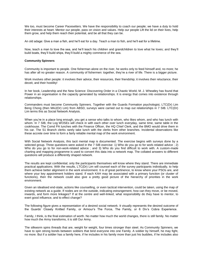We too, must become Career Pacesetters. We have the responsibility to coach our people; we have a duty to hold their interests at heart. Mentor our people, pass on vision and values. Help our people Lift the lid on their lives, help them grow, and help them reach their potential, and be all that they can be.

An old adage: Give a man a fish, and he'll eat for a day. Teach a man to fish, and he'll eat for a lifetime.

Now, teach a man to love the sea, and he'll teach his children and grandchildren to love what he loves; and they'll build boats, they'll build ships, they'll build a mighty commerce of the sea.

#### **Community Spinners**

Community is important to people. One fisherman alone on the river, he works only to feed himself and, no more; he has after all no greater reason. A community of fishermen: together, they're a river of life. There is a bigger picture.

Work involves other people: it involves their advice, their resources, their friendship; it involves their reluctance, their deceit, and their hostility!

In her book, Leadership and the New Science: Discovering Order in a Chaotic World, M. J. Wheatley has found that Power in an organisation is the capacity generated by relationships. It is energy that comes into existence through relationships.

Commanders must become Community Spinners. Together with the Guards Formation psychologist, LTC(Dr) Lim Beng Chong (then MAJ(Dr) Lim) from ABSD, surveys were carried out to map out relationships in 7 SIB. LTC(Dr) Lim terms this as Social Network Analysis.

When you're in a place long enough, you get a sense who talks to whom, who likes whom, and who has lunch with whom. In 7 SIB, the Log WOSEs will check in with each other over lunch everyday, same time, same table in the cookhouse. The Comd PA lunches with the Finance Officer, the HQ Chief Clerk, and the BMO would drive them in his car. The S1 Branch clerks rarely take lunch with the clerks from other branches. Incidental observations like these accrete over time to form a fairly reliable mental map of the work environment.

With Social Network Analysis, this tacit mental map is documented. The exercise begins with surveys done by a selected group. Three questions were asked in the 7 SIB exercise: 1) Who do you go to for work-related advice : 2) Who do you go to for non-work-related advice ; and 3) Who do you find difficult to work with. A custom-made charting and mapping programme is used to convert this data into a network map. The collated answers to different questions will produce a differently shaped network.

The results are kept confidential; only the participants themselves will know where they stand. There are immediate practical applications. With the results, LTC(Dr) Lim will counsel each of the survey participants individually, to help them achieve better alignment in the work environment. It is of great pertinence, to know where your PSOs are, and where your key appointment holders stand. If each KAH may be associated with a primary function (or cluster of functions), then the network could also give a pretty good picture of the hierarchy of priorities in the work environment.

Given an idealised end-state, actions like counselling, or even tactical intervention, could be taken, using the map of existing network as a guide. If nodes are on the outside, indicating estrangement, how can they move, or be moved, inwards, and form more linkages? If at the centre and well-linked, what responsibility do they have to mentor, to exert good influence, and to effect change?

The following figure gives a representation of a desired social network. It visually represents the desired outcome of the Guards' Closely Knitted Family, or Armour's The Force, The Family, or 6 Div's Cobra Experience.

Family, I think, is the final estimation of worth. No matter how much the world changes, there is still family. No matter how much the Army transforms, it is still Our Army.

The silkworm spins threads that are, weight for weight, four times stronger than steel. As Community Spinners, we have to spin strong bonds between soldiers that bind everyone into one Family. A soldier by himself, he may fight, no more. But if a soldier has a family here, if he includes in his family more than just his buddies, if he includes also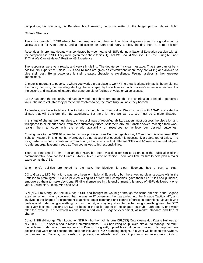his platoon, his company, his Battalion, his Formation, he is committed to the bigger picture. He will fight.

#### **Climate Shapers**

There is a branch in 7 SIB where the men keep a mood chart for their boss. A green sticker for a good mood, a yellow sticker for Alert Amber, and a red sticker for Alert Red. Very terrible, the day there is a red sticker.

Recently an impromptu debate was conducted between teams of NSFs during a National Education session with all the companies in 7 SIB. They were given the debate topics, 1) That We Should Not Give Our Best During NS, and 2) That We Cannot Have A Positive NS Experience.

The responses were very rowdy, and very stimulating. The debate sent a clear message: That there cannot be a positive NS experience unless NSFs and NSmen are given an environment where they are willing and allowed to give their best. Being powerless is their greatest obstacle to excellence. Feeling useless is their greatest impediment.

Climate is important to people. Is where you work a great place to work? The organisational climate is the ambience, the mood, the buzz, the prevailing ideology that is shaped by the actions or inaction of one's immediate leaders. It is the actions and inactions of leaders that generate either feelings of value or valuelessness.

ABSD has done the research, and has delivered the behavioural model, that NS contribution is linked to perceived value: the more valuable they perceive themselves to be, the more truly valuable they become.

As leaders, we have to take action to help our people find their value. We must work with NSAD to create the climate that will transform the NS experience. But there is more we can do. We must be Climate Shapers.

In this age of change, we must dare to shape a climate of reconfigurability. Leaders must possess the discretion and willingness to pluck out people from their customary duties, shift them around, transfer power, redesign their work, realign them to cope with the erratic availability of resources to achieve our desired outcomes.

Coming back to the NDP 03 example, can we produce more Tien Loongs this way? Tien Loong is a returned PSC Scholar, Masters in Engineering. However, I do not accept that education is necessarily a guarantee of value. The trick, perhaps, is not to create more Tien Loongs, but to ensure that different NSFs and NSmen are as well aligned to different organisational needs as Tien Loong was to his responsibilities.

There was no time for him to do another NDP, but there was time for him to co-ordinate the publication of the commemorative book for the Guards' Silver Jubilee, Force of Choice. There was time for him to help plan a major exercise, as the AS3.

When one's abilities are tuned to the task, the ideology is clear: Everyone has a part to play.

CO 1 Guards, LTC Perry Lim, was very keen on National Education, but there was no clear structure within the Battalion to promulgate it. So he plucked willing NSFs from their companies, gave them clear rules and guidance, empowered them to make decisions. Finding themselves in this environment, this group of NSFs delivered a oneyear NE workplan, Heart, Mind and Soul.

CPT(NS) Lim Siang Dat, the BEO for 7 SIB, had thought he would go through the same old shit in the Brigade exercise. When it was discovered that he was an IT consultant, he was pulled into the Brigade Tactical HQ, and involved in the Brigade ' s experiment to achieve better command and control of forces in operations. Maybe it was professional pride, doing something he was good at, or maybe just excited to be doing something new, the BEO effectively became a second Dy S3; he became the fusion agent of the Brigade TacHub. Furthermore, one week after the exercise, he delivered a consultant report on the Brigade experiment, at market standard and free of charge!

Comd 2 SIB did not get Tien Loong for NDP 04, but he had his own CPL(NS) Ong Kwang Hui. Kwang Hui was an NSF in 4 SIR. He specialised in Mass Communications. LTC Chan Wing Kai plucked him out to manage the multimedia team, under which creative settings Kwang Hui greatly upped his contributive quotient. He proposed five designs that went on to become the basis for this year's NDP branding designs. His work will be seen everywhere, on banners, on Zocards, on tickets, on posters, on adverts, and most importantly, on everyone's minds .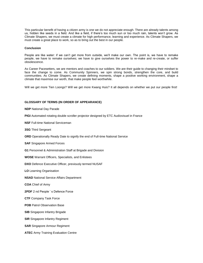This particular benefit of having a citizen army is one we do not appreciate enough. There are already talents among us, hidden like seeds in a field. And like a field, if there's too much sun or too much rain, talents won't grow. As Climate Shapers, we must create a climate for high performance, learning and experience. As Climate Shapers, we must create a great place to work, so as to bring out the best in our people.

#### **Conclusion**

People are like water: if we can't get more from outside, we'll make our own. The point is, we have to remake people, we have to remake ourselves; we have to give ourselves the power to re-make and re-create, or suffer obsolescence.

As Career Pacesetters, we are mentors and coaches to our soldiers. We are their guide to changing their mindset to face the change to come. As Community Spinners, we spin strong bonds, strengthen the core, and build communities. As Climate Shapers, we create defining moments, shape a positive working environment, shape a climate that maximise our worth, that make people feel worthwhile.

Will we get more Tien Loongs? Will we get more Kwang Huis? It all depends on whether we put our people first!

#### **GLOSSARY OF TERMS (IN ORDER OF APPEARANCE)**

**NDP** National Day Parade

**PIGI** Automated rotating double scroller projector designed by ETC Audiovisuel in France

**NSF** Full-time National Serviceman

**3SG** Third Sergeant

**ORD** Operationally Ready Date to signify the end of Full-time National Service

**SAF** Singapore Armed Forces

**G1** Personnel & Administration Staff at Brigade and Division

**WOSE** Warrant Officers, Specialists, and Enlistees

**DXO** Defence Executive Officer, previously termed NUSAF

**LO** Learning Organisation

**NSAD** National Service Affairs Department

**COA** Chief of Army

**2PDF** 2 nd People ' s Defence Force

**CTF** Company Task Force

**POB** Patrol Observation Base

**SIB** Singapore Infantry Brigade

**SIR** Singapore Infantry Regiment

**SAR** Singapore Armour Regiment

**ATEC** Army Training Evaluation Centre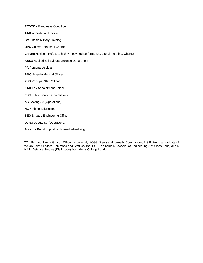**REDCON** Readiness Condition **AAR** After-Action Review **BMT** Basic Military Training **OPC** Officer Personnel Centre **Chiong** Hokkien. Refers to highly motivated performance. Literal meaning: Charge **ABSD** Applied Behavioural Science Department **PA** Personal Assistant **BMO** Brigade Medical Officer **PSO** Principal Staff Officer **KAH** Key Appointment Holder **PSC** Public Service Commission **AS3** Acting S3 (Operations) **NE** National Education **BEO** Brigade Engineering Officer **Dy S3** Deputy S3 (Operations)

**Zocards** Brand of postcard-based advertising

COL Bernard Tan, a Guards Officer, is currently ACGS (Pers) and formerly Commander, 7 SIB. He is a graduate of the UK Joint Services Command and Staff Course. COL Tan holds a Bachelor of Engineering (1st Class Hons) and a MA in Defence Studies (Distinction) from King's College London.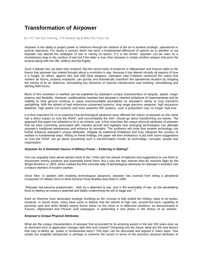## **Transformation of Airpower**

by LTC Tan Yuh Cherng, LTC Roland Ng & MAJ Foo Chun Fai

Airpower is the ability to project power or influence through the medium of the air to achieve strategic, operational or tactical objectives. For nearly a century, there has been a fundamental difference of opinion as to whether or not airpower has altered the strategies of war or merely its tactics. If it is the former, airpower can be seen as a revolutionary leap in the conduct of war but if the latter is true, then airpower is simply another weapon that joins the arsenal along with the rifle, artillery and the frigate.

Such a debate has not been fully resolved. But the recent body of evidence in Afghanistan and Kosovo adds to the theory that airpower has indeed brought about a revolution in war, because it has altered virtually all aspects of how it is fought, by whom, against who and with what weapons. Operation Iraqi Freedom reinforced the notion that modern air forces, properly employed, can quickly and dramatically transform the operational situation by stripping the enemy of its air defences, dismantling key elements of national infrastructure and isolating, immobilising and attriting field forces.

Much of this revolution in warfare can be explained by airpower's unique characteristics of ubiquity, speed, range, potency and flexibility. However, traditionalists maintain that airpower's inherent limitations of impermanence and its inability to hold ground continue to place insurmountable boundaries on airpower's ability to truly transform warfighting. With the advent of high endurance unmanned systems, long range precision weapons, high assurance datalinks, high speed C4I systems and more powerful ISR systems, such a proposition may no longer hold true.

It is thus important for us to examine how technological advances have affected the nature of airpower as this issue has a direct impact on how the RSAF, and concomitantly the SAF, should go about transforming our-selves. The approach this paper has adopted to do is an eclectic one. It first examines the unique physical attributes of airpower that we have commonly associated with manned aircraft and highlight how emerging technologies can alleviate airpower's traditional weaknesses and enhance its strengths. The synthesis will show that modern technology can further enhance airpower's unique attributes, mitigate its traditional limitations and truly influence the conduct of warfare in fundamental ways. Riding on these findings, the paper will then endeavour to put forth some suggestions on how the RSAF can go about actualising such a transformation insofar as technology, concepts, people and organisation.

#### **Airpower As A Dominant Source of Military Power – Enduring or Ebbing?**

One can arguably trace aerial warfare back to the 1700s with the advent of balloons and suggestions to use them to reconnoitre enemy positions and potentially bomb them. But it was the epic heavier-than-air machine flight by the Wright Brothers in 1903, which marked the first concrete step of technological advances for airpower's evolution into a mature element of modern warfare.

Since then, in tandem with enabling technological advances, airpower has evolved from being a peripheral component of military force to what General Omar Bradley described in 1956:

"Airpower has become predominant... both as a deterrent to war, and in the eventuality of war, as the devastating force to destroy an enemy's potential and fatally undermining his will to wage war." 1

Early air theorists have advocated strategic bombing as the concept to fully exploit the military value of air-power. However, in recent times, many have come to believe that the advent of high rate, around-the-clock capability to precisely spot and strike fielded enemy forces either on the move or in defensive positions, as demonstrated in Kosovo, Afghanistan and Persian Gulf campaigns, is portending a new phase in the history of air warfare.

#### **Airpower's Unique Physical Attributes**

What are the unique characteristics of airpower that accounted for its amazing ascent in the last 100 years even as its dominant form of application changes with time and context? Glimpsing into the future, what are the new factors that may re-define air- power in fundamental ways? This topic can be discussed and argued in many ways. One simple but insightful perspective is perhaps to examine the issues in terms of the premium physical attributes of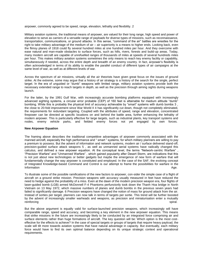airpower, commonly agreed to be speed, range, elevation, lethality and flexibility. 2

Military aviation systems, the traditional means of airpower, are valued for their long range, high speed and power of elevation to serve as carriers of a versatile range of payloads for diverse types of missions, such as reconnaissance, transportation, communications, or ground attacks. In this sense, "command of the air" battles are wrestles for the right to take military advantage of the medium of air – air superiority is a means to higher ends. Looking back, even the flimsy planes of 1918 could fly several hundred miles at one hundred miles per hour. And they overcome with ease natural and man-made obstacles to surface forces, such as hills, rivers, forests and build-up areas. Today, many modern aircraft are capable of unrefuelled ranges of thousands of miles at speeds of several hundreds miles per hour. This makes military aviation systems sometimes the only means to reach key enemy facility or capability, simultaneously if needed, across the entire depth and breadth of an enemy country. In fact, airpower's flexibility is often acknowledged in terms of its ability to enable the parallel conduct of different types of air campaigns at the same level of war, as well as at different levels of war.

Across the spectrum of air missions, virtually all the air theorists have given great focus on the issues of ground strike. At the extreme, some may argue that a history of air strategy is a history of the search for the single, perfect target. In the era of unguided or "dumb" weapons with limited range, military aviation systems provide both the necessary extended range to reach targets in depth, as well as the precision through aiming sights during weapons launch.

For the latter, by the 1991 Gulf War, with increasingly accurate bombing platforms equipped with increasingly advanced sighting systems, a circular error probable (CEP) of 160 feet is attainable for medium altitude "dumb" bombing. While this is probably the physical limit of accuracy achievable by "smart" systems with dumb bombs 3 , the close to 20-fold improvement since War World II 4 has significantly cut down, though not completely eliminated, the requirements for redundant targeting. Coupled with the attributes of speed, range and elevation, concentrated firepower can be directed at specific locations on and behind the battle area, further enhancing the lethality of modern airpower. This is particularly effective for large targets, such as industrial plants, key transport systems and nodes, enemy vehicle parks, and fielded enemy forces not yet engaged by own forces.

#### **New Airpower Equation**

The framing above describes the traditional competitive advantages of airpower commonly associated with the manned aircraft, especially the high performance and " smart " systems, for which military planners are willing to pay a premium to possess. But the advent of information and network systems, modern air / surface delivered stand-off, precision-guided surface attack weapons 5 , as well as unmanned aerial systems have radically changed this calculus, and defined a new airpower equation. At the conceptual level, the terms "Network-centric Warfare" "Precision Warfare" and "Unmanned Warfare" , which gained popularity after Desert Storm, are indications that this is not just about new technologies or better gadgets but maybe the emergence of new form of warfare that will fundamentally change the way airpower is constituted and employed. In the case of the SAF, the evolving concept of Integrated Knowledge-based Command and Control is our attempt to frame the possibilities for warfare in the Information Age.

To illustrate some of the possible ramifications of the new factors to airpower, con-sider the simple case of a flight of aircraft on a ground strike mission. Precision weapons with accuracy usually measured in feet have reduced the need to hedge against the probability of a miss. Even at the dawn of the modern precision weapon era, four flights of laser-guided bomb (LGB) armed McDonnell F-4 Phantoms perfunctorily took down the Thanh Hoa bridge in North Vietnam on 13 May 1972, which massive numbers of planes and dumb bombs in the previous seven years had failed to significantly damage. 6 Precision weapons have changed the notion of mass for ground attack from the air. Instead of sorties per target, planners can now talk in terms of targets per sortie. This trend will be further boosted by the advent of increasingly smaller warheads and weapons, as precision and miniaturisation enter a mutually<br>spiral. reinforcing spiral. The contract of the contract of the contract of the contract of the contract of the contract of the contract of the contract of the contract of the contract of the contract of the contract of the contra

But the above argument is equally valid for surface-launched precision weapons, which increasingly will have comparable range, speed and accuracy, and becoming a key element in the new airpower equation. This means that strike missions in the future are increasingly likely to be conducted by an integrated force comprising air and surface elements rather than huge formations of aircraft. The key question will be: Which option is the most costeffective for the effects to achieve? In the case of special targets or groups of targets that require heavy payload, the scale will tilt more towards aviation systems that have natural advantage in capacity. But eventually, each military force would have to find its own optimal balance depending on its unique strategic context and operational requirements.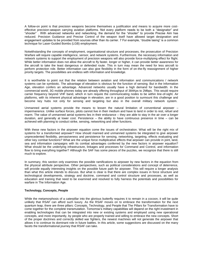A follow-on point is that precision weapons become themselves a justification and means to acquire more costeffective precision-weapon carrying aviation platforms. Not every platform needs to be both a "designator" and "shooter" . With advanced networks and networking, the demand for the "shooter" to provide Precise Aim has reduced. Precision Guidance and Precise Control of the weapon itself have allowed target designation and engagement updates to be provided from sources other than its carrier. 7 For example, "double lasing" is a common technique for Laser-Guided Bombs (LGB) employment.

Notwithstanding the concepts of employment, organisational structure and processes, the prosecution of Precision Warfare will require capable intelligence, sensor, and network systems. Furthermore, the necessary information and network systems to support the employment of precision weapons will also provide force-multiplying effect for flight. While better information does not allow the aircraft to fly faster, longer or higher, it can provide better awareness for the aircraft to take the least dangerous or defended route. This in turn may mean the need for less aircraft to perform protection role. Better information can also give flexibility in the form of on-the-fly reassignment of higher priority targets. The possibilities are endless with information and knowledge.

It is worthwhile to point out that the relation between aviation and information and communications / network systems can be symbiotic. The advantage of elevation is obvious for the function of sensing. But in the Information Age, elevation confers an advantage. Advanced networks usually have a high demand for bandwidth. In the commercial world, 3G mobile phones today are already offering throughput of 384Kps to 2Mbps. This would require carrier frequency beyond VHF band, which in turn require the communicating nodes to be within line-of-sight. Air platforms, with its inherent physical advantage in elevation, are in a good position to surmount this challenge and become key hubs not only for sensing and targeting but also in the overall military network system.

Unmanned aerial systems provide the means to lessen the natural limitation of conventional airpower – impermanence. Unlike surface forces, pilots cannot live in their medium and have to land in order to rest, refuel and rearm. The value of unmanned aerial systems lies in their endurance – they are able to stay in the air over a longer duration, and generally at lower cost. Persistence – the ability to have continuous presence in time – can be achieved with planning to conduct strike, sensing, networking and other functions.

With these new factors in the airpower equation come the issues of orchestration. What will be the right mix of systems for a transformed airpower? How should manned and unmanned systems be integrated to give airpower unprecedented flexibility, pervasiveness and persistence for sensing, networking, targeting, effects evaluating and other key combat functions? What are the unique force multiplicative effects that airpower can provide in joint, land, sea and information campaigns with its combat advantages conferred by the new factors in airpower equalton? What should be the underlying infrastructure, linkages and processes for Command and Control, and information flow to bring everything together? Although the SAF has some pieces of the puzzles, we recognize that there is still much to explore.

In summary, this section only examines the possible ramifications to airpower by new factors in the equation from the physical attribute perspective. Other perspectives, such as political considerations and concept of deterrence, will provide equally interesting insights on the possible future path for airpower. This will require a longer analysis than what this article intends to discuss. But what is clear is that there are complex issues in force structure and technological developments, strategy and doctrine, command and control structure and processes, as well as education and training that need to be examined and resolved to fully harness the potentials and possibilities for warfare in The Information Age.

#### **Technology, Concepts, People**

While the metamorphosis of a caterpillar into the glorious butterfly requires it to remain in a cocoon, it will be quite unlikely that RSAF can afford such luxury. As the RSAF moves on to embrace the transformation for the next quantum leap, there are three pillars: Concepts, Technology, and People that The Pillars for Transformation have to come together for the complete transmutation. Tomorrow's military capabilities will depend on the right investment in enabling technologies that can be integrated into new or existing systems and employed using new operational concepts, and more importantly, by people who are properly trained and willing to embrace the new concepts. Short of the proper doctrines and correctly skilled war fighters, the newest machines will not generate the airpower that allows it to continue its dominant role in future battles. In this article, some suggestions are discussed on the many facets the transformational journey that RSAF can take.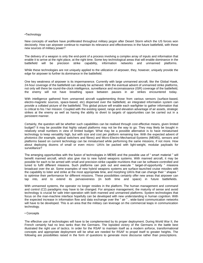#### •Technology

New concepts of warfare have proliferated throughout military jargon after Desert Storm which the US forces won decisively. How can airpower continue to maintain its relevance and effectiveness in the future battlefield, with these new sources of military power?

The delivery of a weapon is only the end-point of a process involving a complex array of inputs and information that enable it to arrive at the right place, at the right time. Some key technological areas that will enable dominance in the battlefield will be precision strike capability, information networks and unmanned platforms.

While these technologies are not uniquely applied to the utilization of airpower, they, however, uniquely provide the edge for airpower to further its dominance in the battlefield.

One key weakness of airpower is its impermanence. Currently with large unmanned aircraft, like the Global Hawk, 24-hour coverage of the battlefield can already be achieved. With the eventual advent of unmanned strike platforms, not only will there be round-the-clock intelligence, surveillance and reconnaissance (ISR) coverage of the battlefield, the enemy will not have breathing space between pauses in air strikes encountered today.

With intelligence gathered from unmanned aircraft supplementing those from various sensors (surface-based, electro-magnetic sources, space-based, etc) dispersed over the battlefield, an integrated information system can provide a collated picture of the battlefield. This global picture will enable each warfighter to gather information that is critical to his / her mission. Coupled with the existing speed, range and elevation advantage of air assets, strategic strikes at the enemy as well as having the ability to divert to targets of opportunities can be carried out in a persistent manner.

Certainly, the question will be whether such capabilities can be realised through cost-effective means, given limited budget? It may be possible that highly valued platforms may not be the way to go. They may likely be bought in relatively small numbers in view of limited budget. What may be a possible alternative is to have miniaturised technology to keep versatility high, but with size and cost per platform remaining low. With the expected advent of photonics (for example, optical switchers and fibres) and Micro-Electro-Mechanical-Systems (MEMS), sensors and platforms based on current technology can be miniaturised while performing the same missions, if not more. How about deploying dozens of small or even micro- UAVs be packed with light-weight, modular payloads for surveillance?

The emerging opportunities with the fusion of technologies in MEMS and the possible use of " smart material " will benefit manned aircraft, which also give rise to new hybrid weapons systems. With manned aircraft, it may be possible for each to be armed with small and precision-strike capable munitions that can be software-controlled and tuned to fulfil different missions. Such platforms can pick out and execute " target-of-opportunity " missions broadcast over the air. Some examples of new hybrid weapons systems are surface-launched cruise missiles with the capability to loiter and strike at the most appropriate time, and morphing UAVs that can change their " shapes " to optimise their performance for different missions. These possibilities certainly offer new areas that airpower can tap into, and to extend its pervasiveness (in both time and space) in future battlefields.

With unmanned systems, the operator no longer resides in the platform. The human management and command and control (C2) paradigms may have to be changed. For airspace management, the maturity of sense and avoid technology is crucial for safe inter-operation with both manned and unmanned platforms. System technologies that focus on the man-machine interface hopefully can be developed with new understanding in human cognition. With the expected increase in information flow and data exchange over the " air " , wide-band communication networks will have to be developed. This is an area that the military can leverage on the commercial leaps in communication technology.

#### • Concepts

The effective use of technologies will have to be complemented by its proper deployment. During World War II, the French certainly had no less tanks than the Germans. The lopsided victory of the Germans in the battle best illustrated the right use of tactics. In order for the RSAF to maintain itself as a modern airforce, transformational concepts and appropriate deployment will be what are needed for RSAF to propel itself to greater heights. The following are possibilities raised in the form of questions to generate more discourse rather than prescriptions.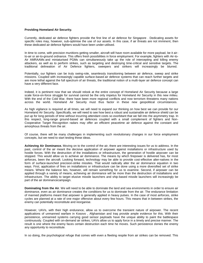#### **Providing Homeland Air Security.**

Currently, dedicated air defence fighters provide the first line of air defence for Singapore . Dedicating assets for specific roles may, however, sub-optimise the use of our assets. In this case, if air threats are not imminent, then these dedicated air defence fighters would have been under-utilised.

In time to come, with precision munitions getting smaller, aircraft will have room available for more payload, be it airto-air or air-to-ground ordnance. This offers fresh possibilities in force employment. For example, fighters with Air-to-Air AMRAAMs and miniaturised PGMs can simultaneously take up the role of intercepting and killing enemy attackers, as well as to perform strikes, such as targeting and destroying time-critical and sensitive targets. The traditional delineation of Air Defence fighters, sweepers and strikers will increasingly be blurred.

Potentially, our fighters can be truly swing-role, seamlessly transitioning between air defence, sweep and strike missions. Coupled with increasingly capable surface-based air defence systems that can reach further targets and are more lethal against the full spectrum of air threats, the traditional notion of a multi-layer air defence concept can have a very different face.

Indeed, it is pertinent now that we should relook at the entire concept of Homeland Air Security because a large scale force-on-force struggle for survival cannot be the only impetus for Homeland Air Security in this new milieu. With the end of the Cold War, there have been more regional conflicts and now terrorism threatens many nations across the world. Homeland Air Security must thus factor in these new geopolitical circumstances.

As high vigilance is required at all times, we will need to expand our thinking on how best we can provide for our Homeland Air Security. Specifically, we will need to see how best a robust and sustainable air defence shield can be put up for long periods of time without incurring attendant costs so exorbitant that we fall into the asymmetry trap. In this respect, long-range ground-based air defences coupled with a small complement of fighters and Non-Cooperative Target Recognition radars may offer an efficient peacetime air defence against the constant and amorphous threats from the air.

Of course, there will be many challenges in implementing such revolutionary changes in our force employment concepts, but we need to start testing these ideas.

**Achieving Air Dominance.** Moving on to the control of the air, there are interesting issues for us to address. In the past, control of the air meant the decisive application of airpower against installations or infrastructure used by hostile forces. With the destruction of the installations or infrastructure, the generation of hostile airpower can be stopped. This would allow us to achieve air dominance. The means by which firepower is delivered has, for most airforces, been the aircraft. Looking forward, technology may be able to provide cost-effective alter-natives in the form of surface-launched precision-strike missiles. That would radically alter the air dominance equation in two ways. First, application of fires on installations or infrastructure can be done using a more diversified set of strike means. Where the balance lies, however, will remain something for us to examine. Second, if airpower can be applied through a variety of means, achieving air dominance will be more than the destruction of installations and infrastructure. The ability to target elusive missile launchers and ship-based missile launchers will increasingly be part of the air dominancecampaign.

**Dominating from the Air**. We will need to be able to dominate the land and sea environments in order to ensure air dominance, even as air dominance creates the conditions for us to dominate from the air. The endurance limitation of manned platforms meant that airpower is generally applied in heavy pulses. In the case of most airforces, strike cycles are planned at a rate of one major offensive about every few hours. This means that in between strikes, the enemy can potentially reconstitute and reorganise.

However, UAVs, with their high endurance, allow us to overcome the transient nature of airpower. The recent applications of unmanned warfare in Kosovo , Afghanistan and Iraq provide ample evidence for this. With their persistence, unmanned systems carrying good sensor payloads have the unique ability to paint the battlespace continuously. Coupled with on-demand air strikes, UAVs allow us to apply force in a timely and precise manner. The result is one where the enemy faces certain destruction each time he moves. Such persistence denies the enemy any opportunity to reconstitute.

In so doing, the psychological refuge that comes with even a fleeting respite from air strikes can be removed. This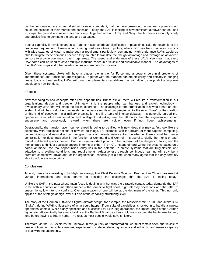can be demoralising to any ground soldier or naval combatant; that the mere presence of unmanned systems could cause the collapse of their morale and cohesion. Today, the SAF is looking at how persistent airpower can be used to shape the ground and naval wars decisively. Together with our Army and Navy, the Air Force can apply timely and precise fires to dominate the land and sea battles.

Such a capability is revolutionary in war and can also contribute significantly in peacetime. Take the example of the peacetime requirement of maintaining a recognised sea situation picture, where high sea traffic volumes combine with wide swathes of water to make such a requirement particularly demanding. High endurance UAVs would be able to mitigate these demands because they are able to translate their height advantage and leverage on advanced sensors to provide over-watch over huge areas. The speed and endurance of these UAVs also mean that every UAV sortie can be used to cover multiple maritime zones in a flexible and sustainable manner. The advantages of the UAV over ships and other sea-borne vessels are only too obvious.

Given these systems, UAVs will have a bigger role in the Air Force and airpower's perennial problems of impermanence and transience are mitigated. Together with the manned fighters' flexibility and efficacy in bringing heavy loads to bear swiftly, UAVs will bring complementary capabilities that will allow us to push the airpower envelope to new frontiers.

#### • People

New technologies and concepts offer new opportunities. But to exploit them will require a transformation in our organisational design and people. Ultimately, it is the people who can harness and exploit technology in revolutionary ways that will make the critical difference. The challenge for the organisation is how to create an ecosystem that will be conducive to unleash the innovative minds of our people. While the exact "how" for the creation of this kind of ecosystem in a military organisation is still a topic of intense debates, it is generally agreed that openness, spirit of experimentation and intelligent risk-taking are the attributes that the organisation should encourage and consciously reward when there are visible, even if not huge, achievements.

Operationally, the transformation journey ahead is going to be filled with new ideas that may at first look like the dichotomy with traditional notions of how we do things. For example, with the advent of more capable computing, communicating and networking technologies, many arguments were centred on whether there should be greater centralisation or decentralisation in the function of Command and Control. It is useful to clarify the merits of each model in different specific context. But the more important point is to be cognisant of the dangers of falling into the mental traps to think of available options in terms of either "1" or "0" . Instead of hard-wiring the systems based on a particular model, the real opportunities today lies in the potential to create systems that are truly flexible and adaptive to prevailing conditions and requirements. Adaptiveness through continuous learning will truly be a premium competitive advantage for the organisation, especially at a time when many agree that the only certainty about the future is uncertainty.

#### **Conclusions**

To end, it may be interesting to highlight an analogy that Chief Defence Scientist, Prof Lui Pao Chuen, has used at various international and local forums to describe the challenges that the SAF is facing today:

Unlike the SAF in the past whose main focus is dealing with hot war, the strategic context today demands the SAF to be both a sprinter and marathon runner – the former to fight short, high intensity operations and the latter to sustain long, low intensity conflicts. Over-optimisation of one will be at the detriment of the other. This not only applies at the strategic design level but also at the capability structuring level.

The story of the German Luftwaffe's fighter aircraft design, for example, the Messerschmitt Bf-109 and Junkers 87 "Stuka" , during WWII is illustrative of what could happen if our suite of capabilities is locked in to handle a narrow operational context. While highly optimised and successful for Blitzkrieg operations, the limited range of the German fighter aircraft eventually became a liability at the Battle of Britain, as they could not stay over the battle area for very long before having to return home. The rest, as most people would say, is history.

Therefore, as the SAF explores the unknown in this journey of transformation, we must remain open and flexible to create options for plausible scenarios, experiment to surface relevant questions and solutions, and reserve capacity to deal with the uncertainty.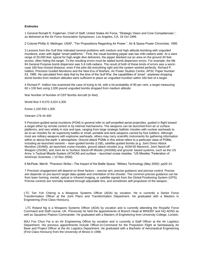#### **Endnotes**

1 General Ronald R. Fogleman, Chief of Staff, United States Air Force, "Strategic Vision and Core Competencies ", as delivered at the Air Force Association Symposium, Los Angeles, CA, 18 Oct 1996.

2 Colonel Phillip S. Meilinger, USAF, "Ten Propositions Regarding Air Power ", Air & Space Power Chronicles, 1995.

3 Lessons from the Gulf War indicated several problems with medium and high-altitude bombing with unguided munitions, even with digital "smart platforms ". First, the visual bombing pipper was two milli-radians wide. At a slant range of 20,000 feet, typical for high-angle dive deliveries, the pipper blanked out an area on the ground 40 feet across, often hiding the target. To the resulting errors must be added bomb dispersion errors. For example, the Mk 84 General Purpose bomb dispersion was 5-6 milli-radians. The result of both of these kinds of errors was a worstcase 160-foot missed distance, even if the pilot did everything right and the system worked perfectly. Richard P. Hallion, Precision Guided Munitions and the New Era of Warfare, Air Power Studies Centre, APSC Paper Number 53, 1995. He calculated from data that by the time of the Gulf War, the capabilities of 'smart ' airplanes dropping dumb bombs from medium altitudes were sufficient to place an unguided munition within 160 feet of a target.

4 Richard P. Hallion has examined the case of trying to hit, with a hit probability of 90 per cent, a target measuring 60 x 100 feet using 2,000 pound unguided bombs dropped from medium altitude:

War Number of Number of CEP Bombs Aircraft (in feet)

World War II 9,070 3,024 3,300

Korea 1,100 550 1,000

Vietnam 176 44 400

5 Precision-guided aerial munitions (PGM) in general refer to self-propelled aerial projectiles, guided in flight toward a target either by remote control or by internal mechanisms. The weapons can be launched from air or surface platforms, and vary widely in size and type, ranging from large strategic ballistic missiles with nuclear warheads to air-to-air missiles for air superiority battles to small, portable anti-tank weapons carried by foot soldiers. Although most are military weapons with explosive warheads, others may carry scientific instruments for gathering information within or above the earth 's atmosphere. Ground attack PGMs in this article refers to a particular class of PGMs, including air-launched variants – laser-guided bombs (LGB), satellite-guided bombs (e.g. Joint Direct Attack Munition (JDAM)), air-launched cruise missiles, ground attack missiles (e.g. AGM-65 Maverick, Joint Stand-off Weapon (JSOW), and Joint Air to Surface Stand-off Missile (JASSM)) and ground- based systems, such as the US Army 's Tactical Missile System (ATACM) and surface – launched cruise missiles. "US Missiles "Federation of American Scientists. ( 10 Nov 2000).

6 McPeak, Merrill. "Precision Strike—The Impact of the Battle Space. "Military Technology (May 2000): pp20-24.

7 Precision engagement will depend on three factors – precise aim, precise guidance and precise control. Precise aim depends on pre-launch target data update and orientation of the shooter. The common precise guidance can be from laser homing, inertial, optical or infrared imaging, or satellite signals from the Global Positioning System (GPS). Precise controls are normally realised through adjustable fins, and sometimes self-propulsion of the weapon.

LTC Tan Yuh Cherng is a Weapons Systems Officer (ADA) by vocation. He is currently a Senior Force Transformation Officer at the Joint Plans and Transformation Department. He graduated with a Masters in Engineering (First Class Honours).

LTC Roland Ng is a Weapons Systems Officer (ADA) by vocation and is currently attending the RoyalAir Force Command and Staff course, UK. Previously he held the appointments of Branch Head at MINDEF and HQ ADSD as well as Squadron Platoon Commander. He graduated with a Masters of Engineering from University College, London.

MAJ Foo Chun Fai is an Air Engineering Officer by vocation and is currently a Staff Officer at the Air Logistics Department. His previous appointments include Officer-In-Command for the Propulsion Flight at Sembawang Air Base and Project Officer at the Air Logistics Department. He graduated with a Bachelor of Aeronautical Engineering (First Class Honours) from the University of Illinois in 1998.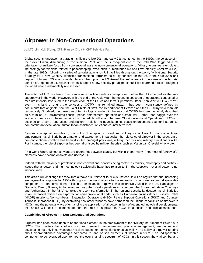## **Airpower In Non-Conventional Operations**

by LTC Lim Kok Siong, CPT Stanley Chua & CPT Teh Hua Fung

Global security underwent a paradigm shift in the late 20th and early 21st centuries. In the 1990s, the collapse of the Soviet Union, dismantling of the Warsaw Pact, and the subsequent end of the Cold War, triggered a reorientation of military focus from conventional wars to non-conventional operations. Military forces were employed increasingly for missions related to peacekeeping, evacuation, humanitarian aid and Low-Intensity Conflicts (LICs). In the late 1990s, following a series of terrorist attacks on US facilities throughout the world, "A National Security Strategy for a New Century" identified transnational terrorism as a key concern for the US in the Year 2000 and beyond. 1 Indeed, T3 soon took its place at the top of the US Armed Forces' agenda in the wake of the terrorist attacks of September 11. Against this backdrop of a new security paradigm, capabilities of armed forces throughout the world were fundamentally re-assessed.

The notion of LIC has been in existence as a political-military concept even before the US emerged as the sole superpower in the world. However, with the end of the Cold War, the mounting spectrum of operations conducted at medium-intensity levels led to the introduction of the US-coined term "Operations-Other-Than-War" (OOTW). 2 Yet, even in its land of origin, the concept of OOTW has remained fuzzy. It has been inconsistently defined by documents that originate from the Joint Chiefs of Staff, the Department of Defense and the US Army field manuals respectively. 3 Indeed, the loose use of terminology is evident in the way that OOTW has been variously described as a form of LIC, asymmetric conflict, peace enforcement operation and small war. Rather than haggle over the academic nuances in these descriptions, this article will adopt the term "Non-Conventional Operations" (NCOs) to describe an array of operations undertaken in relation to peacekeeping, peace enforcement, counter-insurgency, non-combatant evacuation, humanitarian assistance, relief and counter-terrorism.

Besides conceptual formulation, the utility of adapting conventional military capabilities for non-conventional employment has similarly been a matter of disagreement. In particular, the relevance of airpower in the spectrum of non-conventional conflicts has been disputed amongst politicians, military theorists and military practitioners alike. For instance, the role of airpower has been dismissed by military theorists such as Martin van Creveld, who wrote:

"In a world where almost all wars are fought not between states, but within them, many if not most of [airpower's] elements have become obsolete and useless." 4

Indeed, with the majority of problems in non-conventional conflicts being rooted in ethnicity, philosophy and politics – issues that airpower and high-technology traditionally have little relation to 5 – the scepticism over airpower is not inconceivable.

This article will challenge the view that airpower is irrelevant to NCOs. Instead, it will be argued that the increasing employment of airpower for NCOs throughout the world attests to the necessity for airpower as an indispensable component of non-conventional missions. For example, airpower was extensively used in the US campaigns in Grenada, Oman, Bosnia, Afghanistan and Iraq; the Israeli operations in Libya; and the Russian efforts in Chechnya and Afghanistan. In the RSAF context, the recent transformation in the regional security landscape has similarly led to an increased reliance on airpower for non-conventional ends, such as Humanitarian Assistance Disaster Relief (HADR) missions, Non-combatant Evacuation Operations (NEO), Peace Support Operations (PSO) and Counter-Terrorist Operations (CTO). By examining how other militaries have harnessed the unique capabilities of airpower in NCOs, and the potential ways of enhancing the application of airpower in light of recent technological developments, this article will seek to demonstrate that the role of airpower in NCOs is a critical and irreplaceable one.

#### **Capabilities of Airpower in Non-Conventional Operations**

Airpower has been called upon to be the "lead element" in the employment of the "Military Instrument of Power" 6 in NCOs. The qualities that it offers, such as dominant manoeuvre and precision engagement, are unique and devastating not only in conventional missions but in non-conventional ones as well. 7 The ability of airpower to bring about disproportionate advantages compared to land or sea elements of warfare renders it an indispensable component to be leveraged upon to meet the ever-changing spectrum of NCOs. In this section, the vital combat and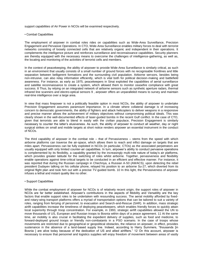support capabilities of Air Power in NCOs will be examined respectively.

#### • Combat Capabilities

The employment of airpower in combat roles rides on capabilities such as Wide-Area Surveillance, Precision Engagement and Pervasive Operations. In CTO, Wide-Area Surveillance enables military forces to deal with terrorist networks consisting of loosely connected cells that are relatively organic and independent in their operations. It complements the intelligence picture and reinforces surveillance and reconnaissance capabilities. Security planners are thereby equipped with the necessary means to overcome the challenges of intelligence-gathering, as well as, the locating and monitoring of the activities of terrorist cells and members.

In the context of peacekeeping, the ability of airpower to provide Wide-Area Surveillance is similarly critical, as such in an environment that usually consists of a small number of ground forces with no recognisable frontlines and little separation between belligerent formations and the surrounding civil population. Airborne sensors, besides being non-intrusive, can also relay information efficiently, which is vital both for political decision-making and battlefield awareness. For instance, as early as 1975, peacekeepers in Sinai exploited the capabilities of aerial surveillance and satellite reconnaissance to create a system, which allowed them to monitor ceasefire compliance with great success. 8 Thus, by relying on an integrated network of airborne sensors such as synthetic aperture radars, thermal infrared line scanners and electro-optical sensors 9 , airpower offers an unparalleled means to survey and maintain real-time intelligence over a large area.

In view that mass firepower is not a politically feasible option in most NCOs, the ability of airpower to undertake Precision Engagement assumes paramount importance. In a climate where collateral damage is of increasing concern to democratic governments, the ability of fighters and attack helicopters to deliver weapons in a responsive and precise manner allows the achievement of military objectives without compromising political ideals. This was clearly shown in the well-documented effects of laser-guided bombs in the recent Gulf conflict. In the case of CTO, given that terrorists are able to blend in easily with the civilian populace, Precision Engagement is similarly necessary to counter the latter's elusiveness. As such, the ability of airpower to conduct all weather, day or night surgical strikes on small and mobile targets at short notice renders airpower an essential instrument in the conduct of NCOs.

The third capability of airpower in the combat role – that of Pervasiveness – stems from the speed with which airborne platforms can traverse the air-space, which allows them to reach and inflict damage on targets that are miles apart. Pervasiveness can be fully exploited in NCOs (in particular, CTOs) as the associated perpetrators are usually equipped with only limited counter-air capabilities. In turn, airpower's ability to conduct pervasive operations is complemented by its flexibility, a capability granted by the increasingly multi-role nature of today's air platforms, which provides greater latitude for the switching of roles whilst airborne. Together, pervasiveness and flexibility enable operations against time-critical targets to be conducted in an efficient and effective manner. For instance, it was reported that during the Russian campaign in Chechnya, a Russian A-50 (AWACS), upon detecting the rebel president Dudayev talking on his cellular phone, relayed his position to an airborne Su-27, which diverted from its original flight plan and took him out with a precise TV-guided bomb. 10 In this light, the Pervasiveness of airpower infuses a lethal and instant quality like no other.

#### • Support Capabilities

While the combat employment of airpower for NCOs is of relatively recent origin, the support roles of airpower in NCOs are far better established. Airpower's contributions in the aspects of Mobility and Versatility are the key factors that enable support roles to be undertaken with resounding success. The aerial mobility afforded by fixedand rotary-wing transport platforms offers a myriad of transportation options that can be tailored to suit a variety of roles, ranging from ferrying of personnel, to evacuation and Search-and-Rescue (SAR). In addition, mass strategic airlift capabilities increase the timeliness of deploying peacekeepers, which enables friendly forces to quickly attain local superiority through troop concentration. For example, in 1993, strategic airlift capabilities allowed the UN to move thousands of US, European and Russian troops to Bosnia within days of a peace agreement. 11 At the same time, air mobility is also crucial in facilitating the expedient delivery of supplies, such as food and medicine, to forward-deployed ground troops or friendly non-combatants in a PSO scenario. In the case of troops whose movements are restricted due to geographical or geopolitical obstacles, the reliance on airpower, in effect, provides sustenance in the absence of a land-based supply line. Indeed, according to Harry Summers, "thousands [in Bosnia 1 are alive today because of the dedication of US and allied airlifters." 12 On this account, airpower is necessary to ensure that personnel and logistics supplies will enjoy freedom of movement between areas of vastly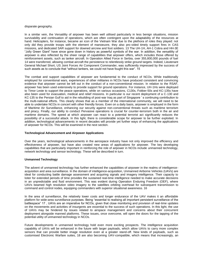#### disparate geography.

In a similar vein, the Versatility of airpower has been well utilised particularly in less benign situations, mission survivability and continuation of operations, which are often contingent upon the adaptability of the resources at hand. Helicopters, for instance, became an icon of the Vietnam War due to the plethora of roles they played: not only did they provide troops with the element of manoeuvre, they also pro-vided timely support fires in CAS missions, and dedicated SAR support for downed aircrew and foot soldiers. 13 The UH-1H, AH-1 Cobra and HH-3E "Jolly Green Giant" have since gone down in history as powerful symbols of the war. In addition, the versatility of airpower is also reflected by the sheer range of capabilities that airpower offers, which includes those offered by reinforcement assets, such as tanker aircraft. In Operation Allied Force in Serbia, over 355,800,000 pounds of fuel 14 were transferred, allowing combat aircraft the persistence to relentlessly strike ground targets. Indeed, Lieutenant General Michael Short, US Joint Forces Air Component Commander, was sufficiently impressed by the success of such assets as to conclude that "without tankers, we could not have fought this war". 15

The combat and support capabilities of airpower are fundamental to the conduct of NCOs. While traditionally employed for conventional wars, experiences of other militaries in NCOs have produced consistent and convincing evidence that airpower cannot be left out in the conduct of a non-conventional mission. In relation to the RSAF, airpower has been used extensively to provide support for ground operations. For instance, UH-1Hs were deployed to Timor Leste to support the peace operations, while on various occasions, C130s, Fokker-50s and KC-135s have also been used for evacuation, medical and relief missions. In particular is our recent deployment of a C-130 and KC-135 to the Persian Gulf to aid in the rebuilding of post-war Iraq as part of Singapore ' s continuing contribution to the multi-national efforts. This clearly shows that as a member of the international community, we will need to be able to undertake NCOs in concert with other friendly forces. Even on a daily basis, airpower is employed in the form of Maritime Air Surveillance, enhancing our security against non-conventional threats such as maritime terrorism and piracy. Finally, our ability to conduct Pervasive operations is crucial for counter-terrorism both in the air and maritime domains. The speed at which airpower can react to a potential terrorist act significantly reduces the possibility of a successful attack. In this light, there is considerable scope for airpower to be further exploited. In addition, technological advancements in recent decades will provide yet further ways of enhancing the applications of airpower for NCOs. This will be examined in the next section.

#### **Technological Advancement and Airpower Applications**

Over the years, technological advancements in the aerospace industry have not only improved the efficiency and effectiveness of airpower, but have also created new areas of applications for airpower. The key developing capabilities that are particularly important in reinforcing the role of airpower in NCOs include unmanned technology, network technology and sensor technology. These will be described in turn.

#### **Unmanned Technology**

The advent of unmanned technology has further enhanced the capabilities of airpower in the realms of intelligenceacquisition and area surveillance. In the domain of intelligence-acquisition, Unmanned Airborne Vehicles (UAVs) are ideal for conducting battle damage assessment and acquiring signals and imagery intelligence. Their capacity to loiter for extended periods of time provides the sustained real-time intelligence needed to make accurate decisions in an unpredictable and fluid environment. This was evident during Operation Enduring Freedom (OEF), where UAVs beamed high resolution video imagery to the satellites orbiting overhead for subsequent transmission to command and control nodes, equipping commanders with superior situational awareness. 16

In the area of surveillance, the relatively lower costs and longer endurance of the UAV makes it an affordable platform for wide-area surveillance purposes. Being "essential to realising all important persistent surveillance of the battlespace" 17 , UAVs are an imperative for NCOs, given that close monitoring and provision of real-time updates on the movements and activities of insurgents are essential to the success of such operations. In this light, the use of UAVs may be hindered by issues related to airspace management and concerns about their concurrent deployment alongside manned platforms. These issues, once overcome, will open the doors for the tapping of the potential utility of unmanned technology in NCOs.

Future developments in unmanned technology hold even more exciting prospects. The intelligence acquisition capability of UAVs will be enhanced in the future with larger payloads, which allow UAVs to carry more complex sensors that can provide better image resolution even at a greater stand-off. New kinds of payloads, such as customised Electronic Warfare suites, 18 are also becoming UAV-compatible, which means that increasingly, an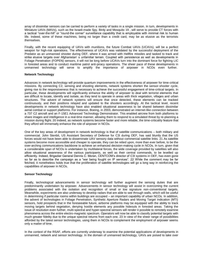array of dissimilar sensors can be carried to perform a variety of tasks in a single mission. In turn, developments in Miniature UAVs (MAVs), such as the Israeli-made Spy, Birdy and Mosquito 19 , will serve to provide CT forces with a tactical "over-the-hill" or "round-the corner" surveillance capability that is employable with minimal risk to human life. Indeed, some of these machines, being no larger than a credit card, may be as elusive as the terrorists themselves.

Finally, with the recent equipping of UAVs with munitions, the future Combat UAVs (UCAVs), will be a perfect weapon for high-risk operations. The effectiveness of UCAVs was validated by the successful deployment of the Predator as an unmanned shooter during OEF, where it was armed with Hellfire missiles and tasked to track and strike elusive targets over Afghanistan' s unfamiliar terrain. Coupled with persistence as well as developments in Foliage Penetration (FOPEN) sensors, it will not be long before UCAVs turn into the dominant force for fighting LIC in forested areas and to conduct maritime patrol anti-piracy operations. The sheer pace of these developments in unmanned technology will serve to amplify the importance of airpower in NCOs even further.

#### **Network Technology**

Advances in network technology will provide quantum improvements in the effectiveness of airpower for time-critical missions. By connecting C2, sensing and shooting elements, network systems shorten the sensor-shooter cycle, giving rise to the responsiveness that is necessary to achieve the successful engagement of time-critical targets. In particular, these developments will significantly enhance the ability of airpower to deal with terrorist elements that are difficult to locate, identify and isolate, as they tend to operate in areas with thick vegetation, villages and urban structures. The advent of network systems will ensure that once detected, these elements can be tracked continuously, and their positions relayed and updated to the shooters accordingly. At the tactical level, recent developments in network technology have also enabled situational awareness to be shared between dissimilar aerial combat or support platforms. For instance, Boeing, in 2003, demonstrated an internet-like connection between a 737 C2 aircraft and an F-15E1 Advanced Technology Demonstrator. This enabled aircrew from both platforms to share images and intelligence in a real-time manner, allowing them to respond to a simulated threat by re-planning a mission during flight. 20 Indeed, as network systems become faster and more reliable, the time-criticality feature that they afford will immensely enhance the role of airpower in NCOs.

One of the key areas of development in network technology is that of satellite communications – both military and commercial. John Stenbit, US Assistant Secretary of Defense for C3I during OEF, has said bluntly that the US forces would not have been able to disseminate UAV sensory data without commercial satellite links. 21 As satellite systems become more accessible and cheaper to operate, they can be relied upon, more than ever before, to be the over-arching communications backbone to achieve an enhanced decision-making cycle in NCOs. In turn, given that a considerable span of NCOs is undertaken by multilateral forces, the wide coverage provided by satellites will also allow situational awareness of the various participants, as well as their central commands, to be levelled up efficiently. Indeed, Brigadier General Dennis C. Moran, CENTCOM's director of C3I systems in OEF, has even gone so far as to describe the campaign as a "war being fought on IP services". 22 While the comment may be far fetched, it nonetheless holds true that the proliferation of satellite technologies will go a long way in reinforcing the capabilities of airpower in NCOs.

#### **Sensor Technology**

Finally, technological advancements in sensor technology will further augment the sensing duties that are predominantly undertaken by airpower. Advancements in sensor technology will assist in overcoming the current problems associated with the isolation and recognition of small or low signature non-conventional targets. Meanwhile, experiments are also underway to develop radars that are able to see through walls, which will be useful in determining if particular rooms within buildings are occupied – an important capability of urban NCOs. In addition, the advent of technologies in Foliage Penetration, Synthetic Aperture Radars and Moving Target Indication (MTI) sensors, hold prospects that in the foreseeable future, airborne platforms may be equipped with the ability to track moving targets behind vegetation, denying hostile elements any possible hideouts in forested areas. Taking the issue of resolution even further, multi-spectral and hyper-spectral sensors will render it possible to remotely examine phenomena across the entire electro-magnetic spectrum. Operators will now be able to classify potential targets with much greater fidelity due to the unique spectral returns from each one. 23 In view of the sheer range of possibilities afforded by the latest sensor technologies, using them in NCOs to complement the employment of airpower seems only a matter of time.

In the context of the RSAF, efforts are currently underway to examine the potential applications of developments in unmanned, network and sensor technology. In the domain of unmanned technology, UAVs are poised to take over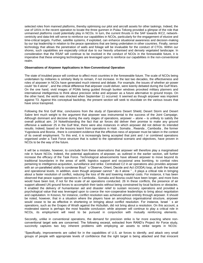selected roles from manned platforms, thereby optimising our pilot and aircraft assets for other taskings. Indeed, the use of UAVs in the recent operation to locate the three gunmen in Pulau Tekong provided a glimpse of the role that unmanned platforms could potentially play in NCOs. In turn, the current thrusts in the SAF towards IKC2, networkcentricity and data-link will serve to reinforce our capabilities in NCOs, particularly for the engagement of elusive and time-critical targets. Further, satellite systems, if exploited, can enhance situational awareness and decision-making by our top leadership in relation to the peace operations that are being undertaken in other countries. Finally, sensor technology that allows the penetration of walls and foliage will be invaluable for the conduct of CTOs. Within our shores, such capabilities are especially critical due to our heavily urbanised and densely vegetated landscape. In consideration that the RSAF will continue to be involved in the conduct of NCOs in the foreseeable future, it is imperative that these emerging technologies are leveraged upon to reinforce our capabilities in the non-conventional realm.

#### **Observations of Airpower Applications in Non-Conventional Operation**

The state of troubled peace will continue to affect most countries in the foreseeable future. The scale of NCOs being undertaken by militaries is similarly likely to remain, if not increase. In the last two decades, the effectiveness and roles of airpower in NCOs have generated much interest and debate. For example, the issues of whether air-power could "do it alone" , and the critical difference that airpower could deliver, were keenly debated during the Gulf Wars. On the one hand, vivid images of PGMs being guided through bunker windows provoked military planners and international intelligentsia to think about precision strike and airpower as a future alternative to ground troops. On the other hand, the world was shocked when September 11 occurred. It seemed as though airpower was impotent against T3. Against this conceptual backdrop, the present section will seek to elucidate on the various issues that have since transpired.

Following the first Gulf War, conclusions from the study of Operations Desert Shield, Desert Storm and Desert Sabre lent much weight to the argument that airpower was instrumental to the success of the Joint Campaign. Although dominant and decisive during the early stages of operations, airpower – alone – is unlikely to satisfy the overall political aim. 24 Notwithstanding the fact that air forces did deliver their promise to make any ground offensive a walkover 25 in the Gulf War, there were also instances in which airpower did not deliver its intended results. Indeed, based on the lessons learnt from operations in Haiti , Somalia , Rwanda , Cambodia , the former Yugoslavia and Bosnia , there is consistent evidence that the effective-ness of airpower must be taken in the context of its overall employment. To this end, it is increasingly being accepted that joint and / or combined operations organised under a Task Force structure that is suited to the operational scenario and objectives, have proven in NCOs to be the way of the future.

It will be a mistake, however, to conclude from these observations that airpower will therefore play a marginalised role in future NCOs. Indeed, the potential applications of airpower, as outlined in the earlier section, will further increase the efficacy of the Task Force. Technological advancements have allowed airpower to move beyond its traditional boundaries in the areas of airlift, logistics support and occasional area bombing, to combat roles pertaining to intelligence-acquisition, surveillance and strike. Centralised C2 in air operations also provides airpower with an un-paralleled ability to condense Boyd ' s Observe, Orient, Decide and Act (OODA) loop, at both the tactical and operational levels. In addition, even though airpower cannot " do it alone " , it plays a critical role in bringing about a faster resolution of conflict, reducing the loss of life and lowering material costs. For instance, it has been observed that peace support operations in Cambodia , Somalia and Bosnia could have been longer, and more lives would have been lost, if not for the scale of air operations conducted. 26 In these conflicts, the presence of air support allowed UN ground forces to accomplish their tasks without being constrained by local factions or obstacles. It enabled the delivery of humanitarian aid and disaster relief to sustain recovery operations and provided a psychological value that was leveraged upon to coerce the non-cooperative leaderships to bring about negotiation and capitulation. In Kosovo, for instance, conflict resolution was achieved almost entirely through airpower. It should be noted, however, that in a situation where the players have an amorphous organisational structure, airpower would cease to be as effective in shortening or bringing about conflict resolution. For instance, Israel ' s air operations, such as the Grapes of Wrath against the Hizbullah, did not bring about a resolution. On this account, a moderated stance is perhaps the most feasible conclusion: while airpower will continue to play a critical role in NCOs, its employment will need to be pursued in conjunction with mutually reinforcing elements.

Secondly, unlike in conventional operations, the demand for precision strike is far more exacting where nonconventional target sets are concerned. The following excerpt, extracted from RAND's Project Air Force study, succinctly captures two key inherent problems with employing air assets to strike targets in NCOs:

"Specifically, improvements are called for in the capabilities of U.S. air forces to identify, and attack very small groups of people with appropriate levels of confidence that the right target is being attacked and that innocent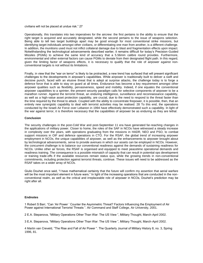civilians will not be placed at undue risk." 27

Operationally, this translates into two imperatives for the aircrew: the first pertains to the ability to ensure that the right target is acquired and accurately designated, while the second pertains to the issue of weapons selection. Being able to tell two target buildings apart may be good enough for most conventional strike missions, but identifying target individuals amongst other civilians, or differentiating one man from another, is a different challenge. In addition, the munitions used must not inflict collateral damage due to blast and fragmentation effects upon impact. Notwithstanding the technological advancements described earlier, it remains difficult for today's Precision-Guided Missiles (PGMs) to achieve the same kind of accuracy that a 5.56mm calibre round provides. Furthermore, environmental and other external factors can cause PGMs to deviate from their designated flight path. In this regard, given the limiting factor of weapons effects, it is necessary to qualify that the role of airpower against nonconventional targets is not without its limitations.

Finally, in view that the "war on terror" is likely to be protracted, a new trend has surfaced that will present significant challenges to the developments in airpower's capabilities. While airpower is traditionally built to deliver a swift and decisive punch, faced with an elusive threat that is adept at surprise attacks, the challenge today is to forge a defence force that is able to stay on guard at all times. Endurance has become a key requirement amongst other airpower qualities such as flexibility, pervasiveness, speed and mobility. Indeed, if one equates the conventional airpower capabilities to a sprinter, the present security paradigm calls for selective components of airpower to be a marathon runner. Against the terrorist threat, an enduring intelligence, surveillance and reconnaissance capability, as well as a high-value asset protection capability, are crucial, due to the need to respond to the threat faster than the time required by the threat to attack. Coupled with the ability to concentrate firepower, it is possible, then, that an entirely new synergistic capability to deal with terrorist activities may be realised. 28 To this end, the operations conducted by the Israeli Air Force over Lebanon in 1994 have effectively demonstrated such a capability. In light of the war against terror, it is therefore necessary that the capabilities of airpower be as enduring as they are lethal.

#### **Conclusion**

The security challenges in the post-Cold War and post-September 11 era have generated far-reaching changes in the applications of military power. Closer to home, the roles of the SAF in NCOs have witnessed a steady increase in complexity over the years, with operations graduating from the missions in HADR, NEO and PSO, to combat support missions in OIF and defence operations in CTO. For the RSAF, the global trend of increasing airpower employment in NCOs, the unique capabilities of airpower, as well as the enhancements to airpower brought about by technological advancements, serve to provide avenues in which our assets can be employed in NCOs. However, the concurrent challenge is to balance our conventional readiness against the demands of sustaining readiness for NCOs. Unlike other air forces, the RSAF is organised and equipped to meet peacetime operational demands and readiness training. The consequence is a possible mismatch of capacity that can result in potential ops development or training trade-offs if the available resources remain status quo, while the growing trends in non-conventional commitments, including protection against terrorist threats, continue. These issues will need to be addressed as the RSAF takes on a wider array of NCOs.

Giulio Douhet once said, "I have mathematical certainty that the future will confirm my assertion that aerial warfare will be the most important element in future wars." In light of the increasing operations that are conducted in the nonconventional realm, as well as the critical and irreplaceable role of airpower in NCOs, Douhet's prediction may be right after all.

#### **Endnotes**

1 Robert S Barr, "Can 'Air Power ' Counter the Asymmetric Threat? Factors Influencing the Employment of Air Power against International Terrorist Threats ". Air Command and Staff College, Air University, 2001.

2 E.A. Stepanova, "Military Operations Other Than War: The US View ", Military Thought, March-April 2002.

3 E.A. Stepanova, "Military Operations Other Than War: The US View ", Military Thought, March-April 2002.

4 Martin van Creveld, "The Rise and Fall of Air Power ". The Quarterly Journal of Military History 8, no. 3, Spring 1996, 81.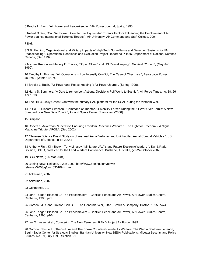5 Brooks L. Bash, "Air Power and Peace-keeping "Air Power Journal, Spring 1995.

6 Robert S Barr, "Can 'Air Power ' Counter the Asymmetric Threat? Factors Influencing the Employment of Air Power against International Terrorist Threats ", Air University, Air Command and Staff College, 2001.

7 Ibid.

8 S.B. Fleming, Organizational and Military Impacts of High Tech Surveillance and Detection Systems for UN Peacekeeping ", Operational Readiness and Evaluation Project Report no PR535, Department of National Defense Canada, (Dec 1992).

9 Michael Krepon and Jeffery P. Tracey, " 'Open Skies ' and UN Peacekeeping ", Survival 32, no. 3, (May-Jun 1990).

10 Timothy L. Thomas, "Air Operations in Low Intensity Conflict, The Case of Chechnya ", Aerospace Power Journal , (Winter 1997).

11 Brooks L. Bash, "Air Power and Peace-keeping ": Air Power Journal, (Spring 1995).

12 Harry S. Summers, "A Date to remember: Actions, Decisions Pull World to Bosnia ", Air Force Times, no. 38, 26 Apr 1993.

13 The HH-3E Jolly Green Giant was the primary SAR platform for the USAF during the Vietnam War.

14 Lt Col D. Richard Simpson, "Command of Theater Air Mobility Forces During the Air War Over Serbia: A New Standard or A New Data Point? ", Air and Space Power Chronicles, (2000).

15 Simpson.

16 Robert K. Ackerman, "Operation Enduring Freedom Redefines Warfare ", The Fight for Freedom – A Signal Magazine Tribute, AFCEA, (Sep 2002).

17 "Defense Science Board Study on Unmanned Aerial Vehicles and Uninhabited Aerial Combat Vehicles ", US Department of Defense, (Feb 2004).

18 Anthony Finn, Kim Brown, Tony Lindsay, "Miniature UAV 's and Future Electronic Warfare ", EW & Radar Division, DSTO, produced for the Land Warfare Conference, Brisbane, Australia, (22-24 October 2002).

19 BBC News, ( 26 Mar 2004).

20 Boeing News Release, 9 Jan 2003, http://www.boeing.com/news/ releases/2003/q1/nr\_030109m.html

21 Ackerman, 2002.

22 Ackerman, 2002.

23 Ochmanek, 22.

24 John Teager, Blessed Be The Peacemakers – Conflict, Peace and Air Power, Air Power Studies Centre, Canberra, 1996, p91.

25 Gordon, M.R. and Trainor, Gen B.E.. The Generals 'War, Little , Brown & Company, Boston, 1995, p474.

26 John Teager, Blessed Be The Peacemakers – Conflict, Peace and Air Power, Air Power Studies Centre, Canberra, 1996, p104.

27 Ian O. Lesser et al., Countering The New Terrorism, RAND Project Air Force, 1999.

28 Gordon, Shmuel L., The Vulture and The Snake Counter-Guerrilla Air Warfare: The War in Southern Lebanon, Begin-Sadat Center for Strategic Studies, Bar-Ilan University, New BESA Publications, Mideast Security and Policy Studies, No. 39, July 1998, Section 3.1.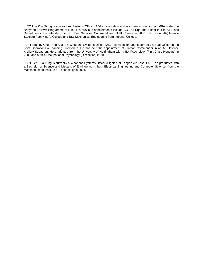LTC Lim Kok Siong is a Weapons Systems Officer (ADA) by vocation and is currently pursuing an MBA under the Nanyang Fellows Programme at NTU. His previous appointments include CO 165 Sqn and a staff tour in Air Plans Departments. He attended the UK Joint Services Command and Staff Course in 2000. He has a MA(Defence Studies) from King 's College and BSc Mechanical Engineering from Imperial College.

CPT Stanley Chua Hon Kiat is a Weapons Systems Officer (ADA) by vocation and is currently a Staff Officer in the Joint Operations & Planning Directorate. He has held the appointment of Platoon Commander in an Air Defence Artillery Squadron. He graduated from the University of Nottingham with a BA Psychology (First Class Honours) in 2000 and a MSc Occupational Psychology (Distinction) in 2001.

CPT Teh Hua Fung is currently a Weapons Systems Officer (Fighter) at Tengah Air Base. CPT Teh graduated with a Bachelor of Science and Masters of Engineering in both Electrical Engineering and Computer Science, from the Massachusetts Institute of Technology in 2001.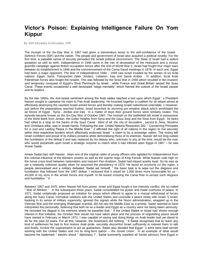## **Victor's Poison: Explaining Intelligence Failure On Yom Kippur**

By ASP Devadas Krishnadas, SPF

The triumph of the Six-Day War in 1967 had given a tremendous boost to the self-confidence of the Israeli Defence Forces (IDF) and the nation. The people and government of Israel also acquired a political novelty. For the first time, a palpable sense of security pervaded the Israeli political environment. The State of Israel had a violent gestation as well as birth. Independence in 1948 came in the van of devastation of the Holocaust and a vicious guerrilla campaign against British occupation forces after the end of World War II. Israel had fought four major wars between its establishment in 1948 and the commencement of the Camp David meetings in 1978. In each one, Egypt had been a major opponent. The War of Independence 1948 – 1949 saw Israel invaded by the armies of six Arab nations: Egypt, Syria, Transjordan (later Jordan), Lebanon, Iraq and Saudi Arabia . In addition, local Arab Palestinian forces also fought the Israelis. This was followed by the Sinai War in 1956 which resulted in the invasion and temporary conquest of Egypt's Sinai Peninsula by Israel , while France and Great Britain seized the Suez Canal. These events occasioned a well developed "siege mentality" which framed the outlook of the Israeli people and its leaders.

By the late 1960s, the Anti-Israeli sentiment among the Arab states reached a boil upon which Egypt ' s President Nasser sought to capitalise his claim to Pan-Arab leadership. He knocked together a coalition for an attack aimed at effectively destroying the vaunted Israeli armed forces and thereby making Israeli nationhood untenable. 1 However, just before the preparations reached fruition, Israel launched its stunning pre-emptive attack which annihilated the air forces of Egypt , Syria , Jordan and Iraq . In a matter of days their ground forces were similarly routed. This episode became known as the Six-Day War of October 1967. The triumph on the battlefield left Israel in possession of the West Bank from Jordan, the Golan Heights from Syria and the Gaza Strip and the Sinai from Egypt . Its tanks had rolled to a stop on the banks of the Suez Canal . Most of all, the city of Jerusalem , sacred to Jews, Muslims and Christians alike, was in Israeli hands. Following the war, United Nations Resolution 242, " Concerning Principles for a Just and Lasting Peace in the Middle East <sup>"</sup> 2 affirmed the right of all nations in the region to live securely within their respective borders which effectively endorsed Israel ' s claim to be a sovereign nation. The victory left Israel confident and proud of its military prowess while demoralising those of its enemies. Nasser did not long outlast the humiliation of the defeat 3 and was replaced by his deputy who, unknown to any at the time, would be the man who would perpetrate upon Israel a strategic surprise to match what it had inflicted upon Egypt in 1967 – he was Anwar Sadat.

Anwar Sadat had, with Nasser , been one of the original cadre of young officers who agitated for independence from the colonial influence of the Western powers as well as the supine reign of King Farouk. While Nasser rode high on the horse cross-bred between nationalism and nascent Pan-Arabism, Sadat had stayed quietly loyal. So he was as yet a relatively unknown quality when he assumed the presidency in 1970. He faced an economy on the ropes, a people demoralised and a military defeated. Sadat set himself, " the basic task is to wipe out the disgrace and humiliation that followed from the 1967 defeat. I reckoned that it would be 1,000 times more honourable for us – 40,000 of my sons in the armed forces and myself- to be buried crossing the Canal than to accept such disgrace and humiliation. " 4

Between 1967 and 1970, when Nasser fell from power, Israel and Egypt fought a low intensity conflict, the so-called " War of Attrition " . In the subsequent three years, Sadat consolidated his power and made overtures of peace. In 1971, Sadat unilaterally proposed an initiative for peace which offered to agree to a mutual withdrawal of forces along the Suez Canal, normalise relations with the United States and conclude a peace treaty with Israel. 5 Israel, basking in its sense of military superiority, ignored the signals while the Nixon administration, wrapped up in the Vietnam War and the emerging Watergate scandal, did not see the Middle East as a priority. Sadat seemed to have interpreted this personally, believing that both he as a leader and Egypt as a country were not being taken seriously. He recorded his disgust in his memoirs where he asserted that, " If the United States or Israel had shown enough interest in that Initiative, the October War would not have taken place and the process of negotiating peace would have started in February or March 1971, I was capable of saying and doing things no Arab leader had yet dared to do for the past 22 years. For all this, however, the Americans did nothing. " 6 Sadat recognised that to reach any kind of settlement he had to first restore Arab pride, secondly discomfort Israel sufficiently to interest them to talk and finally, involve the superpowers to act as guarantors. Sadat also decided that Egypt ' s aims were best served working with the United States and not its long-term patron – the Soviet Union . In an example of what would become his trademark " electric shock " diplomacy 7 , Sadat summarily expelled all Soviet advisors from Egypt in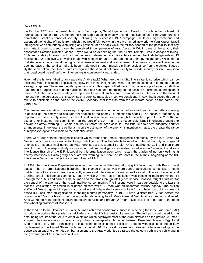#### July 1972. 8

In October 1973, on the Jewish holy day of Yom Kippur, Sadat together with Assad of Syria launched a two-front surprise attack upon Israel . Although the Yom Kippur attack ultimately proved a tactical defeat for the Arab forces, it demolished Israel ' s sense of security. Following the successful 1967 campaign, the Israeli high command had ascended the heights of hubris from which they would fall heavily. In the days immediately prior to Yom Kippur, Israeli intelligence was comfortably dismissing any prospect of an attack while the military scoffed at the possibility that any such attack could succeed given the perceived in-competence of Arab forces. 9 Within days of the attack, their charismatic Defence Minister, Moshe Dayan would be exclaiming that the " Third Temple " was in danger of falling. 10 Israel ' s ability to snatch victory from the jaws of defeat led to an acceptance among the Arab belligerents of UN resolution 242, effectively, providing Israel with recognition as a State among its unhappy neighbours. Welcome as that step was, it had come at the high cost in terms of material and lives to Israel . The grievous material losses in the opening days of the conflict had only been made good through massive military assistance from the United States . By the same token, the United States recognised that it could not leave its ally to provide security for itself. Any idea that Israel could be self-sufficient in ensuring its own security was ended.

How had the Israelis failed to anticipate the Arab attack? What are the insights into strategic surprise which can be solicited? What institutional implications follow from those insights and what recommendations can be made to deter strategic surprise? These are the vital questions which this paper will address. This paper adopts Levite ' s definition that strategic surprise is a sudden realisation that one has been operating on the basis of an erroneous perception of threat. 11 To be considered strategic as opposed to tactical, such a surprise must have implications on the national interest. For the purposes of this study, such a surprise must also meet two conditions. Firstly, that it occurs through a failure to anticipate on the part of the victim. Secondly, that it results from the deliberate action on the part of the perpetrator.

The clearest manifestation of a strategic surprise framework is in the context of an attack warning. An attack warning is defined as the timely and accurate anticipation of the enemy ' s intention to attack . The notion of adequacy is important as there is only value if such anticipation is achieved early enough to be acted upon. In the Yom Kippur scenario for instance, the commitment on the part of the A ' man, the responsible Israeli intelligence agency to declare an attack warning, 12 came only hours before the Arab assault – too little time to effect adequate counter arrangements. In general, the earlier an accurate estimation of the enemy ' s intention is made, the greater the range of responsive options available to the potential victim.

There were four notable intelligence bodies which formed the Israeli intelligence community by the late 1960s. 13 Mossad which was responsible for foreign intelligence, Shin Bet which focused on internal security with special emphasis on counter-intelligence on Arab terrorist activity, a small Foreign Office Intelligence Cell, and then there was A ' man. The responsibility for producing national intelligence estimates rested upon A ' man or the Military Intelligence Branch of the IDF. It would be this organisation upon which rested the burden of not only estimating enemy intentions but also giving adequate war warning. A ' man had its roots in the humble beginning of the IDF Intelligence Department after the successful war of 1948.

In 1953, the Intelligence Department received new responsibilities trans-forming it into A ' man with Branch level status in the IDF organisational hierarchy. This change of status was more than organisational semantics. It meant that A ' man officers were now concurrently operational intelligence officers as well as staff officers in the wider and growing Israeli intelligence community, one in which A ' man as an institution was becoming more prominent. 14 Through the 1950s and early 1960s, A ' man and the Israeli foreign intelligence service, Mossad, fought a turf war for the control of the agenda of the Israeli intelligence community. The frictions were in part attributable to the fact that Mossad was staffed by civilian intelligence officers while A ' man was an uniformed military agency. The civilian staffing of Mossad gave it the persona of an elite and independent service while A ' man , being part of the conscript based IDF, assumed an egalitarian, more regimented personality. In 1963, Prime Minister Ben-Gurion settled the contest in A ' Man ' s favour when he appointed its serving head, Major General Meir Amit, as director of Mossad. Amit worked to repair relations between the two services and brought A ' man- style discipline and order to the more free-wheeling practices of Mossad. 15

In the lead up to the October 1967 War, A ' man achieved considerable success in helping the Israeli Air Force (IAF) with data to update their pilots ' target folders and identify the best strike window. These inputs contributed to the astounding results of the IAF pre-emptive strikes which destroyed most of the Arab airforces on the ground. A ' man ' s signal intelligence arm also scored a coup when it intercepted a phone call between President Nasser of Egypt and King Hussein of Jordan concocting a false story to explain their collective defeats with claims of the military involvement of the United States on Israel ' s behalf. 16 The Israeli government released a tape recording of the conversation causing enormous embarrassment to the Arab world. It also raised the esteem both in the public and in the government of A ' man ' s capabilities.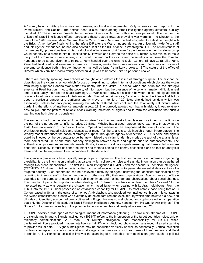A ' man , being a military body, was and remains, apolitical and regimented. Only its service head reports to the Prime Minister and Cabinet. The service head is also, alone among Israeli intelligence agency directors, publicly identified. 17 These qualities provide the incumbent Director of A ' man with enormous personal influence over the efficacy of Israeli intelligence efforts, particularly those geared towards providing war warning. The Director at the time of the 1967 war was Major General Aharon Yariv. Born in Moscow , he had emigrated to Palestine , fought with the British Army, before finally joining the infant IDF after the War of Independence. An officer with wide field, staff and intelligence experience, he had also served a stint as the IDF attáche in Washington D.C. The attractiveness of his personality, professionalism of his conduct and effectiveness of A ' man ' s performance under his stewardship would not only be a credit to him but institutionally, it would add lustre to the office of Director. While this could make the job of the Director more effective, much would depend on the calibre and personality of whoever that Director happened to be at any given time. In 1972, Yariv handed over the reins to Major General Elihayu Zeira. Like Yariv, Zeira had field, staff and overseas experience. However, unlike the more cautious Yariv, Zeira was an officer of supreme confidence both in his own judgement as well as Israel ' s military prowess. 18 The stature of the office of Director which Yariv had inadvertently helped build up was to become Zeira ' s poisoned chalice.

There are broadly speaking, two schools of thought which address the issue of strategic surprise. The first can be classified as the victim ' s school which focuses on explaining surprise in terms of conditions which obviate the victim from being surprised.Roberta Wohlstetter fits neatly into the victim ' s school when she attributed the strategic surprise at Pearl Harbour , not to the poverty of information, but the presence of noise which made it difficult in real time to accurately interpret the attack warnings. 19 Wohlstetter drew a distinction between noise and signals which continue to inform any analysis of intelligence data. She defined signals as, " a sign or piece of evidence that tell us about a particular danger or a particular enemy move or intention. " 20 Noise she defined as data which was essentially useless for anticipating warning but which cluttered and confused the total analytical picture while burdening the efforts of intelligence analysis assets. 21 She correctly pointed out that in hindsight, it was relatively easy to pick out the pattern of reliable attack warning indicators or signals and to form the conclusion that such a warning was both clear and consistent.

The second school may be referred to as the surpriser ' s school and seeks to explain surprise in terms of actions on the part of the perpetrator to inflict surprise. 22 Barton Whaley has a good representative example. In studying the 1941 German invasion of the Soviet Union , Operation Barbarossa, he emphasised the role of deception. The Wohlstetter model treated noise and signals as a matter for the analysts to distinguish through interpretation. The Whaley model introduced the notion of strategic surprise through the agency of deception. 23 Thus noise and signals could be injected by the perpetrator to deliberately mislead the victim. Under this model, the task of the analyst is far more complicated. He or she must not only distinguish between noise and signals but also authenticateboth. The authentication process serves two vital needs. Firstly, it serves to validate signals ensuring that those acted upon are bona fide. Secondly, it must decipher the intent and method behind the enemy deception plans so that an analytical framework can be engineered to accommodate for the deception.

Intelligence organisations have typically two principal components. The first component is an information gathering capability. It is the information gathering apparatus which collate the noise and signals. Information can be gathered through two broad mechanisms. The first is Human Intelligence (HUMINT) and the second is Technical Intelligence (TECHINT). 24 Human Intelligence is typified by the reliance on agents to penetrate essential data centres of a targeted country. Such penetration can be achieved directly by an agent infiltrating the identified organisation or by recruiting indigenous staff to betray, knowingly or otherwise 25 , their own organisations. Agents can also infiltrate countries for the purpose of gauging their public sentiment and making general observations about social changes. This can be of particular importance when dealing with ' closed ' countries or at least countries ' closed ' to the interested party as was certainly the situation which faced Israel when dealing with its Arab neighbours. From the 1960s into the 1970s, Israel possessed an established capability for HUMINT. Its most notable case being that of Eli Cohen, based in Syria in the guise of a monied Arab playboy, who provided key intelligence through his contacts in the Syrian establishment. Cohen was eventually detected, tortured and executed. By which time however, a new, and till today unidentified, source had been cultivated in Egypt . He was so well-placed and sophisticated in his operation that only the Director of Mossad, the Israeli Foreign Intelligence Agency, handled him. He was known only as " The Source " . His greatest value lay in the potential to deliver a credible and timely attack warning. 26

TECHINT covers a wide span of technological means of information gathering. The two main streams of TECHINT are signals and imagery. Signals intelligence (SIGINT) refers to the interception of the target countries ' electronic or telephony communications. A ' man , or Military Intelligence, had responsibility for SIGINT while the Israeli Air Force provided Imagery intelligence (IMINT) which included photo reconnaissance, infra-red scanning to provide visual data. 27 Signals intelligence may be conducted vertically as well as horizontally. Vertical collection involves interception of specific tactical and strategic communications such as those of Headquarters and Field Formation Units. Horizontal collection involved the scanning of a breadth of com-munication genre such as political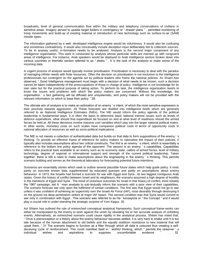broadcasts, level of general communication flow within the military and telephony conversations of civilians in sensitive areas. Imagery served to update target folders in contingency or " drawer plans " , permitted monitoring of troop movements and build-up of existing material or introduction of new technology such as surface-to-air (SAM) missile types.

The information gathered by a well- developed intelligence engine would be voluminous. It would also be confusing and sometimes contradictory. It would also conceivably include deception input deliberately fed to collection sources. To be in anyway useful, in-formation needs to be analysed. Analysis is the second major component of any intelligence organisation. This work is conducted by analysts whose particular skills are married up with congruent areas of intelligence. For instance, Arab speakers would be deployed to Arab intelligence sectors broken down into various countries or thematic section referred to as " desks " . It is the task of the analysts to make sense of the incoming data.

A cogent process of analysis would typically involve prioritisation. Prioritisation is necessary to deal with the paradox of managing infinite needs with finite resources. Often the decision on prioritisation is not exclusive to the intelligence professionals but contingent on the agenda set by political leaders who frame the national policies. As Shaim has observed, " Good Intelligence management must begin with a decision of what needs to be known; such a decision cannot be taken independently of the preoccupations of those in charge of policy. Intelligence is not knowledge for its own sake but for the practical purpose of taking action. To perform its task, the intelligence organisation needs to know the issues and problems with which the policy makers are concerned. Without this knowledge, the organisation ' s fact gathering will be diffused and unsystematic, and policy makers will not be provided with the relevant information on which to base their policy. " 28

The ultimate aim of analysis is to make an estimation of an enemy ' s intent, of which the most sensitive expression is their proclivity towards aggression. 29 These forecasts are distilled into intelligence briefs which are generally referred to as National Intelligence Estimates (NIEs). The NIE would inform the policy agenda of the political leadership in fundamental ways. It is often the basis to determine basic national interest issues such as levels of defence expenditure, what should that expenditure be focused on and at what level of readiness should the armed forces be held at. All these decisions involve massive cost variables which play into the larger national political matrix. In other words, monetary costs on such scales have companion political costs in terms of opportunity costs in national allocation of resources as well as socio-political implications.

The NIE is not merely a collection of authenticated data but builds on that data to form suppositions of the enemy 's thinking. To provide an effective frame of reference for policy makers to rationalise the impact of their policies, it typically also includes assumptions about two critical constructs. The first is an enemy ' s intent, which is essentially a reference to the bottom line policy agenda of the opponent. The second is an enemy ' s capabilities. Capabilities refers to the practical tools available to an enemy such as its economy state, calibre of armed forces, level of military technology, degree of regional or international support and strength of the current political leadership. Taken together, there is still a need to make assumptions about the engineering in the enemy ' s thinking. This permits scenario building and serves as the theoretical laboratory for forecasting potential future intentions.

Scenarios are essentially stories which seek to outline several plausible future states which help guide policy. It rests partly on concrete known data supplemented by educated guesses and partly on assumptions about enemy behaviour. In 1973, the Israelis had formed a scenario for war with Egypt and Syria , its two biggest contiguous Arab states. Given the history of conflict between Israel and its neighbours, the scenario assumed a high degree of hostility in the intentions of Egypt and Syria . The trend of victorious outcomes for Israel in that history of conflict, most notably the 1967 campaign, led A ' man analysts to sub-textually inform the scenario with a poor view of their capabilities. The scenario forecast war only upon the fulfilment of certain conditions. The first was that Egypt would not go to war unless it was confident of achieving air superiority over the Israeli Air Force (IAF), most desirably through destroying it on the ground via deep penetration strikes at major IAF bases. The second condition was that Syria would commit to war only in combination with Egypt. This scenario was referred to as Ha ' konzeptzia or " the Concept " and it would play a crucial role in under-standing the strategic surprise of Yom Kippur. 30

Avi Shlaim has outlined the role of entrenched conceptual analytical frameworks. Such conceptual frame-works can either be manipulated by the enemy to work against the victim by obviating his or her accurate analysis of unfolding events. Alternatively, an entrenched scenario could cause rigidity in the analytical process. Shlaim has noted that, " Once a preconception or a theory about the enemy behaviour becomes settled, it is very hard to shake until it is too late because of the human attachment to old beliefs and the equally stubborn resistance to new material that will upset them. " 31 The scenario begins to function as a filter through which all data is coloured thus creating a selfdeceiving cycle of reinforcement. This could manifest itself in ' wishful thinking, which " permits the observer ' s individual wishes and aspirations to suppress uncomfortable evidence " . 32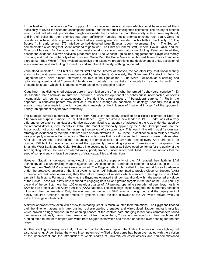In the lead up to the attack on Yom Kippur, A ' man received several signals which should have alarmed them sufficiently to revisit the scenario assumptions which underpinned their intelligence estimates. The history of defeats which Israel had inflicted upon its Arab neighbours made them confident in both their ability to face down any threat, and in their belief that their enemies had been sufficiently humbled not to attempt anything rash again. Zeira ' s confidence in being able to provide sufficient attack warning was also founded on his faith in the fidelity of " The Source " . In early spring 1973, intelligence had detected large Egyptian troop movements. Even " The Source " communicated a warning that Sadat intended to go to war. The Chief of General Staff, General David Elazar, and the Director of Mossad, Zvi Zamir, argued that Israel should move to an anticipatory war footing. Zeira countered that, despite the evidence, his own analytical judgement and " The Concept " guidelines, suggested that Egypt was merely posturing and that the probability of war was low. Golda Meir, the Prime Minister, authorised Israeli forces to move to alert status " Blue-White " . This involved expensive and extensive preparations into deployment of units, activation of some reserves, and stockpiling of inventory and supplies. Ultimately, nothing happened.

Zeira stood vindicated. The Chief of General Staff and the Director of Mossad, the two other key institutional security advisors to the Government were embarrassed by the episode. Conversely, the Government ' s stock in Zeira ' s judgement rose. Zeira himself interpreted his role in the light of the " Blue-White " episode as a calming and rationalising agent against " cry-wolf " tendencies. Ironically, just as Zeira ' s reputation reached its zenith, the presumptions upon which his judgements were based were changing rapidly.

Klaus Knorr has distinguished between purely " technical surprise " and what he termed " behavioural surprise " . 33 He asserted that " behavioural surprise " occurred, " when the op-ponent ' s behaviour is incompatible, or seems incompatible, with our set of expectations " . He identified three causes of " behavioural surprise " . Firstly, the opponent ' s behaviour pattern may alter as a result of a change on leadership or ideology. Secondly, the guiding scenario may be unrealistic due to incompetent analysis or the influence of " national images " of the opponent. Thirdly, an opponent may behave irrationally.

The strategic surprise suffered by Israel on Yom Kippur can be clearly classified as a classic example of Knorr ' s " behavioural surprise " model. In the first instance, Egypt acquired a new leader in 1970. Sadat was of a very different temperament than Nasser . He also was committed to an agenda of addressing the Arab pride, damaged by the repeated defeats, most recently in 1967. The model of rationality applied by the " The Concept " was that the Arabs would not attack without first assuring themselves of air supremacy. This was in line with Israel ' s own war strategy as evidenced by their pre-emptive strike at Arab airforces in 1967. Israel ' s confidence in its military prowess was principally manifested in two notions. The first notion was that its airforce and tank formations were undefeatable. After all, the IAF had delivered the astounding pre-emptive strike in 1967 and bested every Arab airforce in air combat. IDF tank formations had exploited the opportunity, devastating opposing formations and conquering the Sinai, the West Bank and the Golan Heights . The second notion was a well-developed contempt for the quality of the Arab fighting soldier. He was considered weak, poorly trained, uncommitted and ill-led. These two notions laid the seed of complacency in Israeli perceptions of Arab capabilities and intentions.

However, Sadat ' s generals, acknowledging the qualitative superiority of the IAF, placed their faith in SAM technology as a countervailing weapon against past IAF dominance. Hundreds of batteries of Soviet-supplied SA-2, SA-3 and new SA-6 SAM systems were acquired. The Egyptian attack plan called for the ground forces to advance under the protective umbrella of the SAM systems. When IAF fighters attempted to provide Close Air Support (CAS) or conducted tank killer operations, they flew into a barrage of missiles which resulted in the highest loss of IAF aircraft in its history. For most of the war, the Egyptians operated their combat aircraft within the protected envelope of the SAMs. These IAF pilots were reduced to engaging both air and ground targets in the face of the SAM peril. By the end of the conflict, more than 100 or nearly a quarter of IAF pre-war operating strength had been lost, mostly to SAM and its protective Anti-Aircraft Artillery (AAA) batteries. The initial high losses staggered the supremely confident pilots and their commanders. Only the eventual overrunning of SAM sites on the ground and the deployment of hastily acquired American counter-measure systems turned the tide in favour of the IAF which moved swiftly to extract revenge on Arab pilots.

A similar approach was taken with a view to defeating Israel ' s much vaunted tank formations. The Egyptians flooded their frontline formations with tank busting rocket-propelled grenades and wire-guided Sagger anti-tank missiles which proved an ugly surprise. In the opening phases of the conflict, hard charging Israeli tank commanders found themselves continually having their tanks shot out from under them, Those who escaped with their machines still running often found them draped with wires from Sagger shots which had missed or passed over heading for another target.

Another startling discovery was that, unlike their comfortable assumption, the Arab soldier was not only fighting but also advancing. Under Sadat, the whole incompetent crony-filled officer corps had been overhauled with the eviction of the incompetent and the introduction of whole cadres of university-educated officers and non-commissioned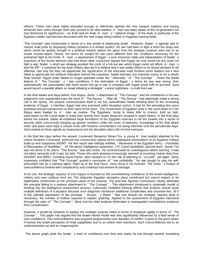officers. These men were highly educated enough to effectively operate the new weapon systems and having achieved their ranks through merit also proved to be able leaders. A ' man had been aware of this re-generation but had dismissed its significance – an Arab was an Arab. A ' man ' s " national image " of the Arab, in particular of the Egyptian soldier had become discordant with the new image being crafted on Egyptian training fields.

"The Concept" was constructed in terms of a war aimed at destroying Israel . However, Sadat ' s agenda was to restore Arab pride by displaying military prowess in a limited conflict. His aim had been to fight a short but sharp war which would be quickly brought to a political solution before the gains from the strategic surprise were lost to an Israeli counter-attack. Hence, the terms he sought for war were different from the conditions necessary for the protracted fight to the finish. A ' man ' s assessment of Egypt ' s poor economic state and interpretation of Sadat ' s expulsion of the Soviet advisors was that these were conclusive signals that Egypt not only would not but could not fight a war. Sadat 's short war strategy avoided the costs of a full-out war which Egypt could not afford. A ' man 's and the IDF ' s contempt for the Arab military also led it to believe that it was totally reliant on its Soviet advisors to be effective. Not only did they not appreciate the significance of the educated Arab frontline junior leaders but it also failed to appreciate the political motivation behind the expulsion. Sadat intended any eventual victory to be a wholly Arab triumph. Egypt under Sadat no longer operated under the " rationality " of " The Concept " . Given the linked feature of " The Concept ' s " two conditions, if the estimation of Egypt ' s terms for war was wrong, then automatically, the presumption that Syria would only go to war in company with Egypt would fulfil its promise. Syria would launch a parallel attack on Israel initiating a strategist ' s worst nightmare - a multi-front war.

In the final weeks and days before Yom Kippur, Zeira ' s attachment to " The Concept " and his confidence in his own judgement now supplanted even the word of " The Source " . After all, " The Source " had seemingly made a wrong call in the spring. His posture communicated itself to his key subordinates fatally blinding them to the increasing evidence of Egypt ' s intention. Egypt had also practised artful deception tactics. It had for the preceding few years practised annual manoeuvres on their bank of the Suez . The movements of Egyptian units in the count down to Yom Kippur were treated by A ' man as routine. The Egyptians, trying to leave little to chance, built up high sand banks on the Canal edge to mask their activity from Israeli observers situated in watch towers. In the final days before the assault, Sadat de-mobilised large formations of the Egyptian reserves to lull the Israelis into a sense of security while concurrently bringing up greater numbers under the cover of darkness. Knowledge of the final attack order and plans were kept a closed circle with frontline commanders not being informed until the penultimate days. Zeira looked at these signals as reassurance but the deception plans did not fool everyone.

In the final few days before the assault, Lieutenant Benjamin Siman-Tov, a young A ' man analyst attached to the critical Southern Command, authored two consecutive reports which catalogued observations of an Egyptian military build-up and suspicious SIGINT. His first report was tellingly entitled, " Movement in the Egyptian Army – Possibility of Resumption of Hostilities " . 34 His senior Intelligence supervisor, LTC David Geddaliah, ignored them. Siman-Tov was not alone in his alarm. "The Source " was also active. He communicated an unambiguous attack warning. It was not taken seriously until it was too late. Those who were growing increasingly alarmed at incoming routine data from SIGNINT and IMINT, including David Elazar, were hesitant to run the risk of seeming to " cry wolf " yet again. Zeira, supremely confident that "The Concept" guided a conclusion of " low probability " for war sought to play his selfprescribed role as a calming agent. Right up to the final hours, Zeira clung to his forecast. The Victor ' s Poison of overconfidence brewed with complacency and contempt had worked its damage.

At its root, the strategic surprise of Yom Kippur is founded on the overwhelming confidence of the Israeli intelligence, military and even political mind set. The elaborate Egyptian deception plans contributed but cannot explain or be legitimately constructed as the principal cause of the surprise. The post-war Agranat Commission clearly attributed the principal failing to a zealous attachment to " The Concept " . This attachment introduced a cybernetic model of thinking into the intelligence assessment process. Cybernetic modelled thinking affirms that analysis should avoid multiple definitions of a situation because such diagnosis introduces additional complexities and uncertain-ties. 35 It is the ultimate expression of the principle, " Occam ' s Razor " that one should not increase, beyond what is necessary, the number of entities required to explain anything. Applied to the assessment of Egyptian intentions through the optic of " The Concept ", Zeira and his chief analysts eliminated or downgraded contradictory evidence from consideration.

However, it would be simplistic to explain the strategic surprise solely in terms of analytical rigidity in terms of " The Concept " . This paper has argued that the Israeli mental model was also significantly influenced by a fatal sense of over-confidence. This overconfidence was acquired progressively over decades of conflict. It grew to the point where it framed the Israeli perception of Arab capabilities and to an extent their intentions. Such overconfidence led to an underestimation as well as misperception.

The above graph plots the Israeli ' s level of confidence over time and marks its rise through several escalating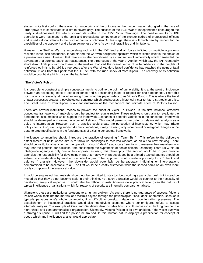stages. In its first conflict, there was high uncertainty of the outcome as the nascent nation struggled in the face of larger powers to consolidate its claim to sovereignty. The success of the 1948 War of Independence encouraged the newly institutionalised IDF which showed its mettle in the 1956 Sinai Campaign. The positive results of IDF operations were testimony to the spirit and professional competence of the pioneer cadres of professional officers and raised self-confidence to the point of cautious optimism. At this stage, there is still much healthy respect for the capabilities of the opponent and a keen awareness of one ' s own vulnerabilities and limitations.

However, the Six-Day War ' s astonishing rout which the IDF land and air forces inflicted on multiple opponents rocketed Israeli self-confidence. It had started the war with belligerent optimism which reflected itself in the choice of a pre-emptive strike. However, that choice was also conditioned by a clear sense of vulnerability which demanded the advantage of a surprise attack as reassurance. The three years of the War of Attrition which saw the IAF repeatedly shoot down Arab jets with no losses to themselves, boosted the overall sense of self-confidence to the heights of reinforced optimism. By 1973, three years after the War of Attrition, Israeli confidence had reached the point of fatal optimism. It was from this peak that the IDF fell with the rude shock of Yom Kippur. The recovery of its optimism would be bought at a high price on the battlefield.

#### **The Victor's Poison**

It is possible to construct a simple conceptual metric to outline the point of vulnerability. It is at the point of incidence between an ascending index of self-confidence and a descending index of respect for one's opponents. From this point, one is increasingly at risk of suffering from, what this paper, refers to as Victor's Poison. This is where the trend of past successes creates a psychological construct which predisposes a historical victor to future strategic surprise. The Israeli case of Yom Kippur is a clear illustration of the mechanism and ultimate effect of Victor's Poison.

There are several institutional means to prevent the onset of Victor ' s Poison. In the first instance, orthodox conceptual frameworks of analysis should be subject to regular review. These reviews should aim to revalidate the fundamental assumptions which support the framework. Scenarios of potential variations in the conceptual framework should be developed and ranked in order of likelihood. This would permit some order of relative risk analysis as a guide to interpretation. However, such a practice could create the perception of inconsistency which may irritate policy clients. Also, excusing sudden dramatic variations, it may be using only incremental or marginal changes in the data, to urge modifications in the fundamentals of existing conceptual frameworks.

Intelligence communities should introduce the practice of operating " Team Bs " . This refers to the deliberate establishment of units whose aim is to throw up challenges to received wisdom, as an aid to new thinking. There should be institutional sanction for the operation of such " devil ' s advocate " sections to reassure their members who may fear the potential for backlash from challenging the hypothesis of senior officers. Operating Team Bs within an intelligence agency is only one of two approaches using this philosophy. The second would be to give multiple agencies the responsibility for developing NIEs. Alternatively, NIEs developed by a primarily tasked agency should be subject to consideration by another competent organ. Either approach would create opportunity for a " check and balance " analysis. However, the downside would potentially be bureaucratic in-fighting or interpretations compromised to be acceptable to all. The first would be a costly distraction while the second could be an even more costly corruption of the analytical value.

It could be suggested that analysts should not be permitted to stay too long working a particular desk but instead be moved so that they do not become stale in their thinking. Yet, such a practice would be counter to the necessity of developing analytical expertise. It would also be difficult to institutionalise on a practical level given the nature of typical intelligence organisations which for reasons of security are internally compartmentalised.

Ultimately, these are institutional solutions to a human problem. As such, there is no guarantee of success. Victor's Poison works itself into the marrow of a victim's psyche through the psychological "back door" of emotion. Because it typically pervades one's whole community, it is difficult to develop independent countervailing pressures. The establishment of institutional practices would also not obviate scenarios where senior figures refuse to accept alternate analysis. The example of Zeira and Geddaliah demonstrates how difficult innovation in thinking can be in a hierarchical and compartmentalised organisation. Ultimately, Victor's Poison is its own antidote. If the victim survives a strategic surprise, it will find the poison neutralised. In this, human nature displays a predilection for conceptual poetry which any intelligence analyst would appreciate.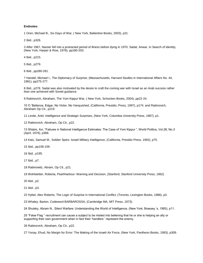#### **Endnotes**

1 Oren, Michael B., Six Days of War, ( New York, Ballantine Books, 2003), p31.

2 Ibid., p326.

3 After 1967, Nasser fell into a protracted period of illness before dying in 1970. Sadat, Anwar, In Search of Identity, (New York, Harper & Row, 1978), pp180-203.

4 Ibid., p215.

5 Ibid., p279.

6 Ibid., pp280-281.

7 Handel, Michael I., The Diplomacy of Surprise, (Massachusetts, Harvard Studies in International Affairs No. 44, 1981), pp275-277.

8 Ibid., p278. Sadat was also motivated by the desire to craft the coming war with Israel as an Arab success rather than one achieved with Soviet guidance.

9 Rabinovich, Abraham, The Yom Kippur War, ( New York, Schocken Books, 2004), pp22-24.

10 O 'Ballance, Edgar, No Victor, No Vanquished, (California, Presidio, Press, 1997), p174. and Rabinovich, Abraham Op Cit., p219.

11 Levite, Ariel, Intelligence and Strategic Surprises, (New York, Columbia University Press, 1987), p1.

12 Rabinovich, Abraham, Op Cit., p22.

13 Shlaim, Avi, "Failures in National Intelligence Estimates: The Case of Yom Kippur ", World Politics, Vol.28, No.3 (April, 1976), p368.

14 Katz, Samuel M., Soldier Spies: Israeli Military Intelligence, (California, Presidio Press, 1992), p75.

15 Ibid., pp158-159.

16 Ibid., p195.

17 Ibid., p7.

18 Rabinowitz, Abram, Op Cit., p21.

19 Wohlstetter, Roberta, PearlHarbour: Warning and Decision, (Stanford, Stanford University Press, 1962)

20 Ibid., p2.

21 Ibid., p3.

22 Hybel, Alex Roberto, The Logic of Surprise in International Conflict, (Toronto, Lexington Books, 1986), p3.

23 Whaley, Barton, Codeword BARBAROSSA, (Cambridge MA, MIT Press, 1973).

24 Shulsky, Abram N., Silent Warfare: Understanding the World of Intelligence, (New York, Brassey 's, 1993), p11.

25 "False Flag " recruitment can cause a subject to be misled into believing that he or she is helping an ally or supporting their own government when in fact their 'handlers ' represent the enemy.

26 Rabinovich, Abraham, Op Cit., p22.

27 Yonay, Ehud, No Margin for Error: The Making of the Israeli Air Force, (New York, Pantheon Books, 1993), p309.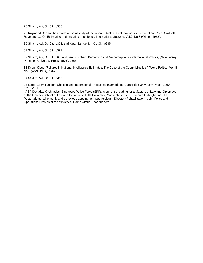28 Shlaim, Avi, Op Cit., p366.

29 Raymond Garthoff has made a useful study of the inherent trickiness of making such estimations. See, Garthoff, Raymond L., 'On Estimating and Imputing Intentions ', International Security, Vol.2, No.3 (Winter, 1978).

30 Shlaim, Avi, Op Cit., p352. and Katz, Samuel M., Op Cit., p235.

31 Shlaim, Avi, Op Cit., p371.

32 Shlaim, Avi, Op Cit., 360. and Jervis, Robert, Perception and Misperception in International Politics, (New Jersey, Princeton University Press, 1976), p356.

33 Knorr, Klaus, 'Failures in National Intelligence Estimates: The Case of the Cuban Missiles ", World Politics, Vol.16, No.3 (April, 1964), p462.

34 Shlaim, Avi, Op Cit., p353.

35 Maoz, Zeev, National Choices and International Processes, (Cambridge, Cambridge University Press, 1990), pp180-181.

ASP Devadas Krishnadas, Singapore Police Force (SPF), is currently reading for a Masters of Law and Diplomacy at the Fletcher School of Law and Diplomacy, Tufts University, Massachusetts, US on both Fulbright and SPF Postgraduate scholarships. His previous appointment was Assistant Director (Rehabilitation), Joint Policy and Operations Division at the Ministry of Home Affairs Headquarters.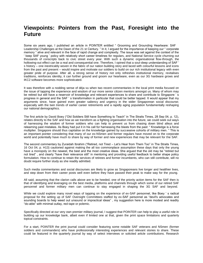## **Viewpoints: Pointers from the Past, Foresight into the Future**

Some six years ago, I published an article in POINTER entitled " Grooming and Grounding Heartware: SAF Leadership Challenges at the Dawn of the 21 st Century. " In it, I argued for the importance of keeping our " corporate memory " alive and relevant in the face of rapid change and complexity. The issue was set against the context of the ' keep SAF young ' policy with relatively short career timelines for regulars, and National Service cycle churning out thousands of conscripts back to civic street every year. With such a dynamic organisational flow-through, the hollowing-out effect can be a real and consequential one. Therefore, I opined that a soul-deep understanding of SAF' s history – one inextricably woven in the fabric of our nation building story and laced with colourful lessons and icons from the past and present – would inspire and motivate our soldiers to build on our rich institutional legacy with even greater pride of purpose. After all, a strong sense of history not only refreshes institutional memory, revitalises traditions, reinforces identity, it can further ground and groom our heartware, even as our 3G hardware grows and IKC2 software becomes more sophisticated.

It was therefore with a nodding sense of déja vu when two recent commentaries in the local print media focused on the issue of tapping the experience and wisdom of our more senior citizen mentors amongst us. Many of whom may be retired but still have a reservoir of knowledge and relevant experiences to share and contribute to Singapore ' s progress in general and the SAF ' s transformation in particular that could be better tapped. It would appear that my arguments since, have gained even greater saliency and urgency in the wider Singaporean social discourse; especially with the twin trends of earlier career retirements and a rapidly aging population fundamentally reshaping our national demographics.

The first article by David Boey ("Old Soldiers Still have Something to Teach" in The Straits Times, 28 Sep 04, p. 12), relates directly to the SAF and how as we transform as a fighting organisation into the future, we could seek out ways of harnessing the wisdom of former soldiers who can help to prevent us from chasing down blind alleys and relearning past mistakes. As Boey had put it in his call for harnessing the blasts from the past: " Knowledge is a force multiplier. Singapore should thus capitalise on the knowledge gained by successive cohorts of military men. " This is an important pointer considering that many of our ex-NSmen and former regulars have moved on to the corporate world and potentially have much to share by way of former and new experiences that may be relevant for the SAF.

The second commentary by Zuraidah Ibrahim ("Retired, not Tired – Let's Hear from Them Too" in The Straits Times, 16 Oct 04, p. H13) cautioned against making the all too commonplace assumption these days that only the young have a monopoly on the newest, the best and the most creative ideas. She argued that the old may be "retired but not tired" , and clearly "have their relevance still" in mentoring and providing useful feedback to better shape policy formulation. How to continue to retain the services of retirees and former incumbents, who can still contribute, will no doubt require further study as she readily admitted.

Such media commentaries and social discourses are likely to grow as Singaporeans live longer and healthier lives, and step down from their career posts well even before they have passed their peak to make way for the young.

All said, assuming that the clarion calls above are to be heeded, one of the priority action items for the SAF then is that of identifying and leveraging on the best media, platforms and channels through which some of our retired SAF personnel and former military men can continue to stay engaged in shaping the 3G SAF and beyond.

While we could explore many novel ways of tapping on the experience of ex-SAF personnel, like Boey ' s radical proposal for the setting up of SAF Oversight Committees staffed by ex-SAF personnel as "devil's advocates and sounding boards to help weed out unsound or impractical ideas" , my suggestion here is more modest and readily "do-able" with minimal outlay, red-tape or polemic.

Specifically directed at our very own premier military journal, I suggest that POINTER can help to play a useful role in building up our knowledge bank, albeit even if limited one at that, given the print space limitations and quarterly topical constraints.

For a start, POINTER the print journal could consider featuring some notable SAF veterans and NSmen (former soldiers and commanders) who have professionally interesting experiences and relevant stories to share. These could be featured in the quarterly journal by way of select interviews or solicited article contributions. Research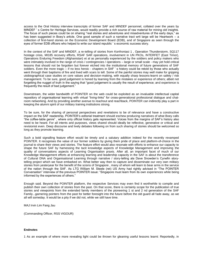access to the Oral History interview transcripts of former SAF and MINDEF personnel, collated over the years by MINDEF ' s Centre for Heritage Services, would readily provide a rich source of raw material for mining old insights. The focus of such pieces could be on sharing "real stories and adventures and misadventures of the early days," as has been suggested in Boey's article. One good sample of such a narrative tract writ large will be Heartwork – a collection of first-hand stories on the Economic Development Board (EDB), and of Singapore as seen through the eyes of former EDB officers who helped to write our island republic ' s economic success story.

In the context of the SAF and MINDEF, a re-telling of stories from Konfrontasi 1 , Operation Thunderstorm, SQ117 hostage crisis, MI185 recovery efforts, RSAF SAR operations, involvement in UN PKOs, INTERFET (East Timor), Operations Enduring Freedom (Afghanistan) et al as personally experienced by the soldiers and policy makers who were intimately involved in the range of crisis / contingencies / operations – large or small scale - may yet hold critical lessons that should not be forgotten but forever etched into the institutional memory of future generations of SAF soldiers. Even the more tragic – if no less heroic - chapters in SAF 's history could be retold by those who actually went through their baptisms of fire and lived with scars to tell. Some of the painful stories may well make for gripping utobiographical case studies on core values and decision-making, with equally sharp lessons-learnt on safety / risk management. To be sure, good judgement is honed by learning from the mistakes or experience of others; albeit not forgetting the nugget of truth in the saying that "good judgement is usually the result of experience; and experience is frequently the result of bad judgement."

Downstream, the wider bandwidth of POINTER on the web could be exploited as an invaluable intellectual capital repository of organisational learning with virtual "living-links" for cross-generational professional dialogue and chatroom networking. And by providing another avenue to reachout and reachback, POINTER can indirectly play a part in keeping the alumni spirit of our military training institutions strong.

To be sure, for the sharing of personal perspectives and revelations to be of relevance and have a constructive impact on the SAF readership, POINTER's editorial treatment should eschew producing narratives of what Boey calls "the coffee-table genre" , where only official history gets represented. Voices from the margins of SAF's history also need to be heard. For all intents and purposes, views shared should ideally be reflective, generative or critical and revisionist even. Deep discourse and lively debates following on from such sharing of stories should be welcomed so long as they promote learning.

Such a bold signalling feature effort would be timely and a salutary addition indeed for the recently revamped POINTER. It recognises the value of our former soldiers by giving them pride of place and platform-of-choice in the journal to share their views and stories. The feature effort would also resonate with efforts to enhance our capacity to shape the future SAF by harnessing the tacit knowledge aspects of Knowledge Management and improving the quality of conversations aspects of Learning Organisation praxis. After all, an important facet of much of our Knowledge Management efforts at enhancing learning and leadership capacity in the SAF is about the transference of Cultural DNA and Organisational Learning through narrative / story-telling ala Dave Snowden's Cynefin storytelling project which we have embarked on. What better way then to capture and disseminate our very own military stories from yesteryear for the benefit of the scions of Singapore , many of whom will learn to bear arms in the service of the nation through the SAF. As LTG William M. Steele (ret) US Army had rightly advised in "The POINTER Conversation" interview of the previous POINTER issue: "Singapore must learn from its own experiences while being informed by the experiences of others."

Enough said. Beyond the POINTER platform, the respective Services may even find it worthwhile to compile and publish their own collection of stories from the past. On that score, there is certainly scope for the publication of true stories and viewpoints from the extended family members of the pioneering 1 st and 2 nd generation of the SAF Family...garnering pointers from the past for better foresight into the future before the old guard all fade away, as we all will someday. It would be a pity if we did not, while we still have time.

MAJ Irvin Lim Fang Jau

(Commanding Officer, RSS VIGOUR)

#### **Endnotes**

1 As an example of where more revealing light could be thrown for gleaning useful lessons learnt: Reportedly, in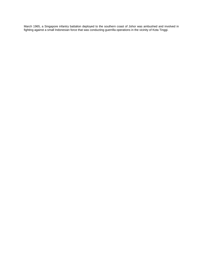March 1965, a Singapore infantry battalion deployed to the southern coast of Johor was ambushed and involved in fighting against a small Indonesian force that was conducting guerrilla operations in the vicinity of Kota Tinggi.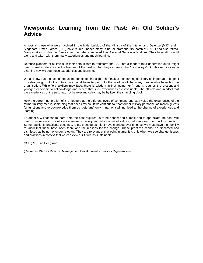## **Viewpoints: Learning from the Past: An Old Soldier's Advice**

Almost all those who were involved in the initial buildup of the Ministry of the Interior and Defence (MID) and Singapore Armed Forces (SAF) have retired. Indeed many, if not all, from the first batch of SAFTI had also retired. Many intakes of National Servicemen had also completed their National Service obligations. They have all brought along and taken with them many experiences and much learning.

Defence planners of all levels, in their enthusiasm to transform the SAF into a modern third-generation outfit, might need to make reference to the lessons of the past so that they can avoid the "blind alleys". But this requires us to examine how we see these experiences and learning.

We all know that the past offers us the benefit of hind-sight. That makes the learning of history so important. The past provides insight into the future. We could have tapped into the wisdom of the many people who have left the organisation. While "old soldiers may fade, there is wisdom in that fading light", and it requires the present and younger leadership to acknowledge and accept that such experiences are invaluable! The attitude and mindset that the experiences of the past may not be relevant today may be by itself the stumbling block.

How the current generation of SAF leaders at the different levels of command and staff value the experiences of the former military men is something that needs review. If we continue to treat former military personnel as merely guests for functions and to acknowledge them as "veterans" only in name, it will not lead to the sharing of experiences and learning.

To adopt a willingness to learn from the past requires us to be honest and humble and to appreciate the past. We need to inculcate in our officers a sense of history and adopt a set of values that can steer them in this direction. Some traditions, practices, doctrines, rules, procedures might have changed over time; yet we must have the humility to know that these have been there and the reasons for the change. These practices cannot be discarded and dismissed as being no longer relevant. They are relevant at that point in time. It is only when we see change, issues and practices in context that we can view our future as sustainable.

COL (Ret) Tan Peng Ann

(Retired in 1997 as Director, Management Development & Sevices Organisation)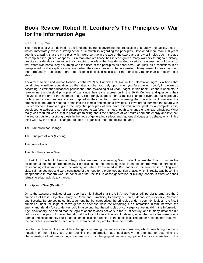## **Book Review: Robert R. Leonhard's The Principles of War for the Information Age**

#### by LTC Jimmy Mak

The Principles of War - defined as the fundamental truths governing the prosecution of strategy and tactics, these words immediately evoke a strong sense of immutability regarding the principles. Developed more than 100 years ago, it is amazing that the principles which were so true in the age of the sword and arrow still holds true in the age of computerised guided weapons. Its remarkable resilience has indeed guided many warriors throughout history, despite considerable changes in the character of warfare that has demanded a serious reassessment of the art of war. What was particularly disturbing was the used of the principles as aphorisms – as rules, as prescriptions in an unexplained blind acceptance way even when they were proven to be inconsistent. Many armed forces clung onto them irrefutably – choosing more often to force battlefield results to fit the principles, rather than to modify these ideas.

Acclaimed soldier and author Robert Leonhard's "The Principles of War in the Information Age" is a book that contributes to military education, as the latter is what you "rely upon when you face the unknown", in the words according to eminent educational philosopher and psychologist Dr Jean Piaget. In this book, Leonhard attempts to re-examine the classical principles of war since their early expression in the 19 th Century and questions their relevance in the era of the information age. He strongly suggests that a radical change is overdue, but regrettably military and civilian leaders are still trapped in their comfort zone concerning the character of future war. He emphasizes the urgent need to "break into the temple and smash a few idols" 1 if we are to summon the future with true conviction. However, given the way the principles of war have evolved in the past as a complete entity developed to address a set of problems related to warfare, it is not enough to change one or two principles. What really was required was a shift in paradigm thinking about the principles of war. With enormous energy and intellect, the author puts forth a strong thesis in the hope of generating serious and rigorous dialogue and debate; which in his mind will sow the seeds of change. His book is organised under the following parts:

The Framework for Change

The Principles of War (Existing)

The Laws of War

The New Principles of War

In Part 1 of the book, Leonhard begins his analysis by examining World War 1 where the loss of human life exceeded all bounds of proportionality. He explains that the underlying issue is one of change; with the introduction of technological advances into the military art which transformed it. But leaders in the war chose to cling onto classical manoeuvres and were convinced of the need for a prolonged attrition phase, which in reality was becoming inappropriate in modern war. He concluded that the failure of the generation of military leaders in WWI was their refusal to adapt quickly to change.

#### **Principles of War (Existing)**

On to the existing principles of war, Leonhard highlighted that the US Armed Forces still persist to embrace the 9 principles of Mass, Objective, Unity of Command, Simplicity, Economy of Force, Manoeuvre, Offensive, Surprise and Security. Before setting out his argument, he first categorised the principles under a common logic 2 - the first 5 principles under the logic of convergence or oneness while the remaining 4 on interaction in war, between the enemy and friendly forces. He was bold in asserting that the principles of convergence are invalid in the Information Age. Additionally, he opined that the logic of oneness does not work in the 21 st century, and in many instances did not work in the past. However, he felt that the logic of interaction is still relevant, albeit the principles were poorly framed and consequently could lead to serious misinterpretation in the battlefield. The author recommends that even the principles of interaction need to be re-examined if they are to retain their worth.

Leonhard outlines explicitly what has changed concerning human conflict and warfare, which have brought about a mutation of the military art. After defining the Information age qualitatively, he attempts to determine the characteristics of Information Age warfare which is changing at an amazing pace. He cites examples of the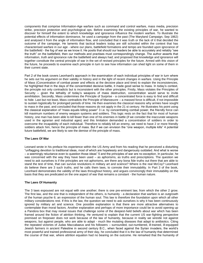components that comprise Information-Age warfare such as command and control warfare, mass media, precision strike, precision protection and psychological ops. Before examining the existing principles of war, he wanted to discover for himself the extent to which knowledge and ignorance influence the modern warfare. To illustrate the potential effects of information dominance, he used a campaign from the past (The Maryland Campaign, Sep 1862) and analysed it from the angle of information flow, and concluded that it was truth or the lack of it that decided the outcome of the campaign. He laments that tactical leaders today are still schooled within the context that has characterised warfare in our age - where our plans, battlefield formations and tempo are founded upon ignorance of the battlefield - the fog of war as we know it. He posits that should our leaders be able to accurately and reliably "see the truth" on the battlefield, then our methods and practises must correspondingly change. The author asserts that information, truth and ignorance rule the battlefield and always had; and proposed that knowledge and ignorance will together constitute the central principle of war in the set of revised principles for the future. Armed with this vision of the future, he proceeds to examine each principle in turn to see how information can shed light on some of them in their current state.

Part 2 of the book covers Leonhard's approach in the examination of each individual principles of war in turn where he sets out his argument on their validity in history and in the light of recent changes in warfare. Using the Principle of Mass (Concentration of combat power and effects at the decisive place and time) to explain the inconsistencies, he highlighted that in the days of the concentrated decisive battle, it made good sense to mass. In today's context, the principle not only contradicts but is inconsistent with the other principles. Firstly, Mass violates the Principles of Security – given the lethality of today's weapons of mass destruction, concentration would serve to invite annihilation. Secondly, Mass undermines the Principle of Surprise - a concentrated force is easy to find and difficult to hide. Last but not least, Mass contradicts the Principle of Manoeuvre – a massed force is difficult, if not impossible to sustain logistically for prolonged periods of time. He then examines the classical reasons why armies have sought to mass in the past, and concluded that those reasons do not apply in the 21 st century. He illustrates his point using the classical explanation of "mass equals killing power" 3 i.e. by concentrating combat power, the friendly force can kill maximum numbers of enemy weapon systems and soldiers. This logic rests on the fact that for most of human history, one man has been able to kill fewer than one of his enemies in battle (if we consider the inaccurate weapons used in the agrarian and industrial ages) and this limitation demanded a concentration of soldiers in order to overcome the incapability of each individual. Therefore to reliably kill an enemy, we need to have 2 or more friendly soldiers attack him, hence the principle of mass. But if we can envision the "one weapon, multiple kills" 4 potential future battlefield, we are likely to see the demise of the principle of mass.

#### **The Laws Of War**

Leonard wrote in his preface his experience within the US Army and from his reading that he perceived a disturbing "unflagging devotion to traditional ideas, most of which are hopelessly and dangerously outdated. And what is worse – a seemingly reluctance even to question those ideas" 5 and the principles of war are no exception. In particular, he was concerned with the way they have been used – as aphorisms, as truths and prescriptions. The question we need to ask ourselves is if the principles are not aphorisms, are there any bona fide truths out there that are able to stand the test of time, that can survive revolutions in military art and science? Where is the real McCoy? Leonhard do believe there are 3 such truths, and he calls them laws, to connote their immutability. In Part 3 of the book, Leonhard demonstrates the validity of the laws throughout history, and argues convincingly their immutability on the basis that they are predicated on the one aspect of war that remains a constant - the human nature.

#### **The Laws Of Humanity**

The 3 laws espoused are not equal with one another; there is one pre-eminent law, from which the other 2 grow. The first law, and the one that is independent of the others, is humanity - a declaration that warfare is an outgrowth of the human psyche 6; an expression of the human soul. This law is therefore the foundation upon which all other military considerations rest. If this is the law, the question we need to ask ourselves is why it has been continuously ignored by military art and science. One possible explanation is that there are more attractive alternatives to contemplate than moral factors. Another explanation and perhaps of more importance could be to avoid opening up a Pandora box that may reveal issues that challenge some of the deepest-held beliefs about war which has been framed around the fiction of attrition thinking. He ventured to explain that the current US war-fighting perspective premised on firepower does not work because of the law of humanity, because in reality we wrestle not against weapons, but against people, who are able to adapt - much like mutating diseases that adapt to antibiotics. Citing the repeated victories of Judas Maccabaeus and his followers – surrounded, out-numbered, ill-trained, ill-equipped Jewish farmers in ancient Palestine in second century B.C., when faced against the Syrian invaders, the world's most powerful and trained professional army of their day, he concluded that it is the law of humanity that determined the course of that war, where attrition equation had no bearing on the outcome. He remarked that the humanity of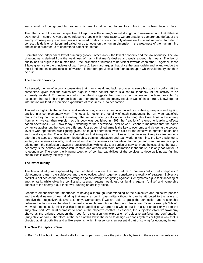war should not be ignored but rather it is time for all armed forces to confront the problem face to face.

The other side of the moral perspective of firepower is the enemy's moral strength and weakness; and that defeat is 90% moral in nature. Given that we refuse to grapple with moral factors, we are unable to comprehend defeat of the enemy. Consequently, our energies are focused on destruction - the only alternative to defeat we know. In order to correct this deficiency, Leonhard called for us to focus on the human dimension – the weakness of the human mind and spirit in order for us to understand battlefield defeat.

From this one independent law of humanity grows 2 other laws – the law of economy and the law of duality. The law of economy is derived from the weakness of man - that man's desires and goals exceed his means. The law of duality has its origin in the human trait – the inclination of humans to be violent towards each other. Together, these 3 laws give rise to the principles of war (revised). Leonhard argues that since the laws ordain and acknowledge the most fundamental characteristics of warfare, it therefore provides a firm foundation upon which valid theory can then be built.

#### **The Law Of Economy**

As iterated, the law of economy postulates that man is weak and lack resources to serve his goals in conflict. At the same time, given that the stakes are high in armed conflict, there is a natural tendency for the activity to be extremely wasteful. To prevail in conflict, Leonhard suggests that one must economise as much as possible. By extension, he put forth the proposition that if ignorance and uncertainty result in wastefulness; truth, knowledge or information will lead to a precise expenditure of resources i.e. to economise.

The author highlights that at the tactical levels of war, economy can be achieved by combining weapons and fighting entities in a complementary way. The focus is not on the lethality of each component, but on what battlefield reactions they can cause in the enemy. The law of economy calls upon us to bring about reactions in the enemy from which we can then exploit – as this book was published in 1998, the "reactions" referred to is akin to effects based operations 7 we know today. Extending to the operational level of war, Leonhard maintains that the same dynamics applies but the tools are different. Just as combined arms is the key to economy and victory at the tactical level of war, operational war-fighting gives rise to joint operations, which calls for the effective integration of air, land and naval capability. The author acknowledges that integration is not easy to achieve as it requires tremendous effort in the aspect of organisation, leadership, training, education and teamwork. In his mind, the key challenge to jointery is inter-service rivalry; institutionalised due to inter-service competition for budget and weapons ownership or arising from the confusion between professionalism with loyalty to a particular service. Nonetheless, since the law of economy is the bedrock of successful conflict, and armed with more information in the future, it is only natural for us to economise. Therefore, the bringing together of combat capabilities of the services to develop joint war-fighting capabilities is clearly the way to go.

#### **The law of duality**

The law of duality as espoused by the Leonhard is about the dual nature of human conflict that comprises 2 dichotomous parts - the subjective and the objective, which together constitute the totality of strategy. Subjective conflict is defined as the contest of strength against strength or fighting against "like" systems e.g. a tank shooting at another tank; while objective conflict pits strength against weakness or fighting against "unlike" and vulnerable aspects of the enemy e.g. a tank over-running an artillery piece.

Leonhard emphasizes the importance of having a thorough understanding of the subjective and objective phases and the dual nature of war, alluding that many errors in past military thoughts can be attributed to the failure to perceive the subjective/objective taxonomy. Conversely, if we are able to grasp the connection and relationship between the two, we will be able to harvest invaluable insights on other principles of war. Take for example "Mass", we would immediately think that this is to be applied to warfare as a whole, but in reality it should only be to the subjective part. We must "unmass" to conduct the objective conflict. In essence, the subjective/objective taxonomy shows us the balance between the need for dislocation (an expression of objective warfare) and confrontation (subjective warfare). Therefore, at the heart of this law is the need to design weapons systems or fight in way that is directed against both like and unlike systems; which in essence is an essential part of striving for economy in war.

#### **The New Principles of War**

In Part 4 of the book, Leonhard calls for the proper way to use the principles by treating them as arguments or as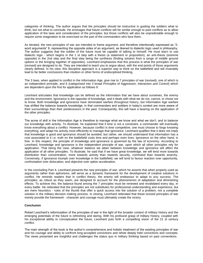categories of thinking. The author argues that the principles should be instructive in guiding the soldiers what to think, but not what to conclude. He envisages that future conflicts will be similar enough to past conflicts as to allow application of the laws and consideration of the principles; but those conflicts will also be unpredictable enough to require some imagination to be exercised on the part of the commanders who face them.

As iterated, the new principles of war are intended to frame argument, and therefore intentionally expressed as "2 word arguments" 8, representing the opposite sides of an argument, as likened to dialectic logic used in philosophy. The author suggests that the soldier of the future must be capable of talking to himself. He must learn to use dialectic logic - which begins in the 1 st step with a thesis (a statement or proposition), an anti-thesis (extreme opposite) in the 2nd step and the final step being the synthesis (finding solution from a range of middle ground options or the bringing together of opposites). Leonhard emphasizes that this process is what the principles of war (revised) are designed to do. They are intended to teach you to argue about, with the end points of those arguments clearly defined. In his view, this discipline approach is a superior way to think on the battlefield and will invariably lead to far better conclusions than intuition or other forms of undisciplined thinking.

The 3 laws, when applied to conflict in the Information Age, give rise to 7 principles of war (revised), one of which is an independent principle, and 6 (categorised into 3 broad Principles of Aggression, Interaction and Control) which are dependent upon the first for application as follows 9:

Leonhard articulates that knowledge can be defined as the information that we have about ourselves, the enemy and the environment. Ignorance is the opposite of knowledge, and it deals with what we do not, cannot, or chose not to know. Both knowledge and ignorance have dominated warfare throughout history, but Information Age warfare has shifted the balance towards knowledge, in that commanders and soldiers in today's context are more aware of their surroundings than their predecessors in the past. Consequently, this will have a bearing on the application of the other principles.

The acme of skill in the Information Age is therefore to manage what we know and what we don't, and to balance our knowledge with activity. To illustrate, he explained that if time is not a constraint, a commander will eventually know everything about a conflict. However, because conflict is time competitive, one must choose to forgo knowing everything, and adapt his activity most efficiently to manage that ignorance. Leonhard qualifies that it does not imply that knowledge is good and ignorance should be avoided, but rather, we should understand that information has a cost associated to it i.e. truth on the battlefield costs time and perhaps even lives. Ignorance on the other hand, is free. In this respect, the principle of knowledge and ignorance is governed by the law of economy. According to Leonhard, knowledge and ignorance is the independent principle of war, upon which all other principles rely for application. That being the case, whatever balance we attain between knowledge and ignorance will affect the application of all other principles. To illustrate, he said that if we have great knowledge, we will tend more towards distribution than concentration, more towards activity than towards security, command than towards anarchy. Conversely, if ignorance triumph over knowledge in the battlefield, we will tend to favour reaction over opportunity, confrontation over dislocation, and objective over option acceleration.

In the concluding Part 4, Leonhard presents the new principles of war, which he asserts that when properly used as arguments rather than aphorisms, will serve as a dynamic framework for the development of creative solutions in conflict. He reminds readers that in conflict theory, the enemy will endeavour to adapt to any success. The principles, as robust as they seem, are designed to account for the phenomenon of adaptation and diminishing effects. To achieve this, the balance found among the 7 principles must be renewed and revalidated every day, in every battle. He reiterated that the principles are not substitutes for professional understanding and experience, but are mere heuristics - rules of the thumb that offer a quick access into the solution of a problem, not a complete solution in the military decision making process. In closing, Leonhard reiterated that these revised principles of war merely provide the framework - character and courage must ultimately create the victory.

#### **Conclusion**

Robert Leonhard's reformulation of the principles of war in the light of the broader context of military history and the emerging potentials of the future is refreshing and daring. With his profound grasp of military history, coupled with his exceptional ability to conceptualise the future, Leonhard puts forth a compelling vision of the 21 st century conflict.

The main strength of the book is the author's comprehensive and holistic treatment of the existing principles of war and his courage and ability to confront long-accepted convictions and refute deeply held convictions and concepts. The views presented are insightful and challenges the status quo in military thinking based on past conventions.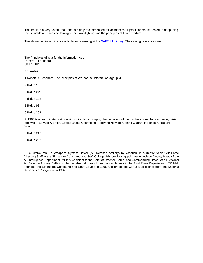This book is a very useful read and is highly recommended for academics or practitioners interested in deepening their insights on issues pertaining to joint war-fighting and the principles of future warfare.

The abovementioned title is available for borrowing at the [SAFTI MI Library.](http://www.mindef.gov.sg/safti/saftilibrary/) The catalog references are:

The Principles of War for the Information Age Robert R. Leonhard U21.2 LEO

#### **Endnotes**

1 Robert R. Leonhard, The Principles of War for the Information Age, p.xii

2 Ibid. p.10.

3 Ibid. p.xiv

4 Ibid. p.102

5 Ibid. p.98

6 Ibid. p.208

7 "EBO is a co-ordinated set of actions directed at shaping the behaviour of friends, foes or neutrals in peace, crisis and war" - Edward A.Smith, Effects Based Operations - Applying Network Centric Warfare in Peace, Crisis and War.

8 Ibid. p.246

9 Ibid. p.252

LTC Jimmy Mak, a Weapons System Officer (Air Defence Artillery) by vocation, is currently Senior Air Force Directing Staff at the Singapore Command and Staff College. His previous appointments include Deputy Head of the Air Intelligence Department, Military Assistant to the Chief of Defence Force, and Commanding Officer of a Divisional Air Defence Artillery Battalion. He has also held branch head appointments in the Joint Plans Department. LTC Mak attended the Singapore Command and Staff Course in 1995 and graduated with a BSc (Hons) from the National University of Singapore in 1987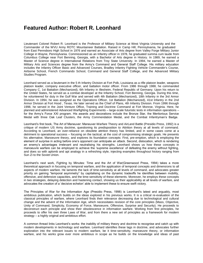### **Featured Author: Robert R. Leonhard**

Lieutenant Colonel Robert R. Leonhard is the Professor of Military Science at West Virginia University and the Commander of the WVU Army ROTC Mountaineer Battalion. Raised in Camp Hill, Pennsylvania, he graduated from East Pennsboro High School in 1976 and earned an Associate of Arts degree from Valley Forge Military Junior College in Wayne, Pennsylvania. Commissioned as an Infantry officer in 1978, he graduated summa cum laude from Columbus College near Fort Benning, Georgia, with a Bachelor of Arts degree in History. In 1989, he earned a Master of Science degree in International Relations from Troy State University. In 1994, he earned a Master of Military Arts and Sciences degree from the Army's Command and General Staff College. His military education includes the Infantry Officer Basic and Advanced Courses, Bradley Infantry Fighting Vehicle Commander's Course, Airborne School, French Commando School, Command and General Staff College, and the Advanced Military Studies Program.

Leonhard served as a lieutenant in the 5 th Infantry Division at Fort Polk, Louisiana as a rifle platoon leader, weapons platoon leader, company executive officer, and battalion motor officer. From 1986 through 1988, he commanded Company C, 1st Battalion (Mechanized), 6th Infantry in Illesheim, Federal Republic of Germany. Upon his return to the United States, he served as a combat developer at the Infantry School, Fort Benning, Georgia. During this time, he volunteered for duty in the Gulf War and served with 4th Battalion (Mechanized), 18th Infantry in the 3rd Armor Division. In 1994, he was assigned as the Operations Officer, 1st Battalion (Mechanized), 41st Infantry in the 2nd Armor Division at Fort Hood , Texas. He later served as the Chief of Plans, 4th Infantry Division. From 1996 through 1998, he served in the Joint Venture Office, Training and Doctrine Command at Fort Monroe, Virginia. Here, he planned and administered Advanced Warfighting Experiments – large-scale futuristic tests in information operations – for the Army's Force XXI program. His awards and decorations include the Bronze Star, the Meritorious Service Medal with three Oak Leaf Clusters, the Army Commendation Medal, and the Combat Infantryman's Badge.

Leonhard's first book, The Art of Maneuver: Maneuver-Warfare Theory and AirLand Battle (Presidio Press, 1992) is a critique of modern US Army doctrine, questioning its predisposition to Attrition theory at all levels of command. According to Leonhard, an over-reliance on obsolete attrition theory has limited, and in some cases come at a detriment to operational success – focusing on the tactical; at the cost of compromising strategic goals. He presents his alternative, Manoeuvre theory, and explores its foundation concepts: First, pre-emption, which is employing the element of surprise in acting before one's opponent can anticipate an attack. Second, dislocation, which is rendering an enemy's advantages irrelevant and neutralising his strengths. Leonhard shows us how these concepts in manoeuvre warfare can be employed to achieve the 'supreme excellence' of defeating the enemy without fighting, and does so with aplomb and apt analogy in a refreshing style, injecting examples throughout history ranging from Sun Zi to the Soviet Union.

Leonhard's next work, Fighting by Minutes: Time and the Art of War(Greenwood Press, 1994) takes a more theoretical approach in focusing on temporal warfare, and the application of temporal concepts and dimensions to all aspects of modern warfare. He laments the lack of time-sensitivity at all levels of command, and advocates greater priority on gaining "temporal asymmetry" by capitalising on the dynamic tradeoffs he identifies between mobility, offensive, and defensive capacities, and the time-sensitivity of these elements. Moreover, he employs these concepts in two strategies, delaying detection and hastening contact, showing us their applicability at all levels of warfare, and advocates the creation of a 'decisive echelon' able to implement these to ensure swift victory.

The Principles of War for the Information Age (Presidio Press, 1998) is Leonhard's latest and arguably, most ambitious publication, which builds on the ideas explored in his previous works. It is a critical re-evaluation of the classical principles of warfare, where Leonhard finds their relevance decreasing due to technological and cultural change and the advent of the Information Age, which necessitates revision of the core principles (Mass, Objective, Unity of Command, Simplicity, Economy of Force, Manoeuvre, Offensive, Surprise and Security). He proceeds to deconstruct each principle and show their obsolescence in information warfare. Working from first principles, he proceeds to offer his own three Laws of War, and from there a new set of principles as a framework for modern strategy – a highly original and ambitious effort.

A common thread links Leonhard's works: the inability of military theory and doctrine to recognise and catch up with modern developments in technology and warfare. Leonhard identifies these lags in doctrine, and advocates further exploration into the relevant issues to modern warfare, be it time-sensitivity, manoeuvre theory, or information warfare, and his works grow ever more ambitious in scope as he builds on the knowledge and ideas of past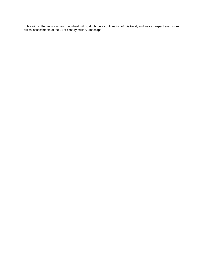publications. Future works from Leonhard will no doubt be a continuation of this trend, and we can expect even more critical assessments of the 21 st century military landscape.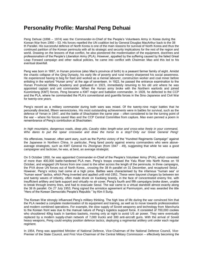## **Personality Profile: Marshal Peng Dehuai**

Peng Dehuai (1898 – 1974) was the Commander-in-Chief of the People's Volunteers Army in Korea during the Korean War from 1950 – 53. His forces repelled the UN coalition led by General Douglas MacArthur back to the 38 th Parallel. His successful defence of North Korea is one of the main reasons for survival of North Korea and thus the continued partition of the Korean peninsula with all its strategic and security implications for the rest of the region and world. Drawing on the lessons of that conflict, he also pioneered the modernisation of the equipment, doctrines and professionalism of the People's Liberation Army (PLA). However, appalled by the suffering caused by the failed Great Leap Forward campaign and other radical policies, he came into conflict with Chairman Mao and this led to his eventual downfall.

Peng was born in 1897, in Hunan province (also Mao's province of birth) to a peasant farmer family of eight. Amidst the chaotic collapse of the Qing Dynasty, his early life of poverty and rural misery sharpened his social awareness. He experienced having to beg for food and worked as a menial labourer, construction worker and coal miner before enlisting in the warlord "Hunan army" at the age of seventeen. In 1922, he passed the entrance examination to the Hunan Provincial Military Academy and graduated in 1923, immediately returning to his old unit where he was appointed captain and unit commander. When the Hunan army broke with the Northern warlords and joined Kuomintang (KMT) forces, Peng became a KMT major and battalion commander. In 1928, he defected to the CCP and the PLA, where he commanded the PLA's conventional and guerrilla forces in the Sino-Japanese and Civil War for twenty-one years.

Peng's record as a military commander during both wars was mixed. Of the twenty-nine major battles that he personally directed, fifteen werevictories. His most outstanding achievements were in battles for survival, such as the defence of Yenan in 1947, and the battle of Shachiatien the same year – often considered to be the turning point of the war – where his forces saved Mao and the CCP Central Committee from capture. Mao even penned a poem in remembrance of Peng's contribution at Shachiatien:

*In high mountains, dangerous roads, deep pits, Cavalry rides length-wise and cross-wise freely in your command, Who dares to put the spear crosswise and draw the horse to a stop? Only our Great General Peng!*

His offensives, however, often went awry, such as the Pyrrhic victory of the "Hundred Regiments Campaign" against the Japanese in Northern China. In particular, Peng fared poorly against enemy commanders who were aboveaverage strategists, such as KMT General Hu Zhongnan (from 1947 - 49), suggesting that while he was a good campaigner and tactician, he was, at best, an average strategist.

On 5 October 1950, he was appointed Commander-in-Chief of the People's Volunteer Army (PVA), which consisted of more than 400,000 battle-hardened PLA men. Peng's troops crossed the Yalu River into North Korea on 18 October, and engaged UN forces from one coast to the other across the length of the peninsula. In three campaigns, the PVA drove UN forces out of North Korea , crossing the 38 th parallel on 31 December, and recaptured Seoul . However, Peng's victory had come at a high price. Battles were characterised by the infamous "human sea" or "human wave" tactics, which Peng invented and applied until mid-1951. These were bayonet charges by between ten and twenty waves of infantry, often made drunk on Kaoliang brandy, in the face of concentrated enemy fire, with insufficient artillery and tank support and virtually no air cover. Peng's fourth and fifth campaigns broke down, unable to break through enemy lines, and had to evacuate Seoul. The war came to a virtual standstill almost exactly along the 38 th parallel. On 27 July 1953, Peng signed the armistice agreement at Panmunjom, and was awarded the title "Hero of the Korean Democratic People's Republic " by Kim Il Sung.

The Korean War strongly influenced Peng's military thinking. The high loss of life during the war convinced him that the PLA needed a complete modernisation of its equipment and training, as well as to move towards professionalism and modern combined operations. For example, the slow supply of Soviet weaponry and technology from Manchuria to the Korean front was due to the manual nature of Peng's logistics support force. It consisted of 700,000 coolies who shouldered 40kg loads in bamboo baskets, moving only at night to avoid US air power. They were eventually replaced by a modern supply-chain network of 7,000 trucks and 300 anti-aircraft guns. With the arrival of Soviet heavy weapons, Peng could employ position defence tactics, deploying a regimental artillery unit under each regular regiment.

In 1954, Peng was appointed Minister of National Defence, Vice-Chairman of the National Defence Council, Vice-Premier of the State Council, and First Vice-Chairman of the Central Military Commission – effectively becoming the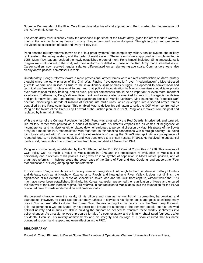Supreme Commander of the PLA. Only three days after his official appointment, Peng started the modernisation of the PLA with his Order No. 1:

The Whole army must sincerely study the advanced experience of the Soviet army, grasp the art of modern warfare, bring to the fore revolutionary heroism, strictly obey orders, and honour discipline. Struggle to grasp and guarantee the victorious conclusion of each and every military task!

Peng enacted military reforms known as the "four great systems": the compulsory military service system, the military rank system, the salary system, and the order of merit system. These reforms were approved and implemented in 1955. Many PLA leaders received the newly established orders of merit, Peng himself included. Simultaneously, rank insignia were introduced in the PLA, with new uniforms modelled on those of the Red Army made standard issue. Career soldiers now received regular salaries differentiated on an eighteen-grade scale. Commanders were also clearly above political commissars in rank.

Unfortunately, Peng's reforms toward a more professional armed forces were a direct contradiction of Mao's military thought since the early phases of the Civil War. Placing "revolutionisation" over "modernisation" , Mao stressed guerrilla warfare and militias as true to the revolutionary spirit of class struggle, as opposed to conventional and technical warfare with professional forces, and that political indoctrination in Marxist-Leninism should take priority over professional military training, and as such, political commissars should be as important or even more important as officers. Furthermore, Peng's differentiated rank and salary systems smacked too much of bourgeois capitalism and profit-motivation, and undermined the egalitarian ideals of Marxist-Leninism. Mao launched his "people's war" doctrine, mobilising hundreds of millions of civilians into militia units, which developed into a second armed forces controlled by the Party committees. This enabled Mao to deliver his ultimatum to split the CCP when confronted by Peng on the failure of the Great Leap Forward at the Lushan plenum in 1959. Peng was removed from his post and replaced by Marshal Lin Piao.

With the onset of the Cultural Revolution in 1966, Peng was arrested by the Red Guards, imprisoned, and tortured. His military career was painted as a series of failures, with his defeats emphasised as crimes of negligence or incompetence, and his victories either played down or attributed to personal direction by Mao. His praise of the Soviet army as a model for PLA modernisation was regarded as "clandestine connections with a foreign country" i.e. being too closely aligned with Khrushchev and "Soviet revisionism" during the Sino-Soviet split. As a consequence of repeated torture, he became seriously ill, and was transferred to a prison hospital in 1973. He received no substantial medical aid, presumably due to direct orders from Mao, and died 29 November 1974.

Peng was posthumously rehabilitated by the 3rd Plenum of the 11th CCP Central Committee in 1978. This reversal of CCP policy was as much a result of Mao's death in 1976 and the subsequent re-evaluation of Mao's cult of personality and a revision of his policies. Peng was an ideal symbol of opposition to Mao's radical policies, and of pragmatic reformism – helping erode the power base of the Gang of Four and Hua Guofeng, and support the "Four Modernisations" of Deng Xiaoping and the reformists.

In conclusion, Peng's contributions to history were not insignificant. Although he had his share of military blunders and defeats, such as at Kanchow, Kwangchang, Paochi and Kuangchung River Valley, it does not diminish the significance of his victories. Success at Shachiatien saved Mao and the CCP from capture, without which the PRC may have never been established. Similarly, his Korean campaign prevented the reunification of Korea and ensured the survival of the North Korean regime. His reforms, in contradiction to Mao's ideas, laid the foundation for the PLA's continued drive towards modernisation and professionalism.

His personal character won the loyalty of his officers and men as he was frugal, incorruptible, hardworking and courageous. However, he could also be extremely ruthless in service to his higher ideals and goals, sacrificing many lives in "human sea" attacks during the Korean War. He was forthright in his criticisms of the Great Leap Forward. This outspokenness was motivated by his desire to alleviate the suffering of the common people but also showed political naivety and in-sufficient skill in building the support he needed to translate these worthy sentiments into policy changes. As a result, he was unprepared for Mao ' s counter-attack and only fully rehabilitated four years after his death. Even so, his military achievements and his integrity and courage at Lushan ensured that his name continued to command respect and even affection in the PRC.

#### **BIBLIOGRAPHY**

Robert M. Citino, Blitzkrieg to Desert Storm: The Evolution of Operational Warfare (University of Kansas Press,